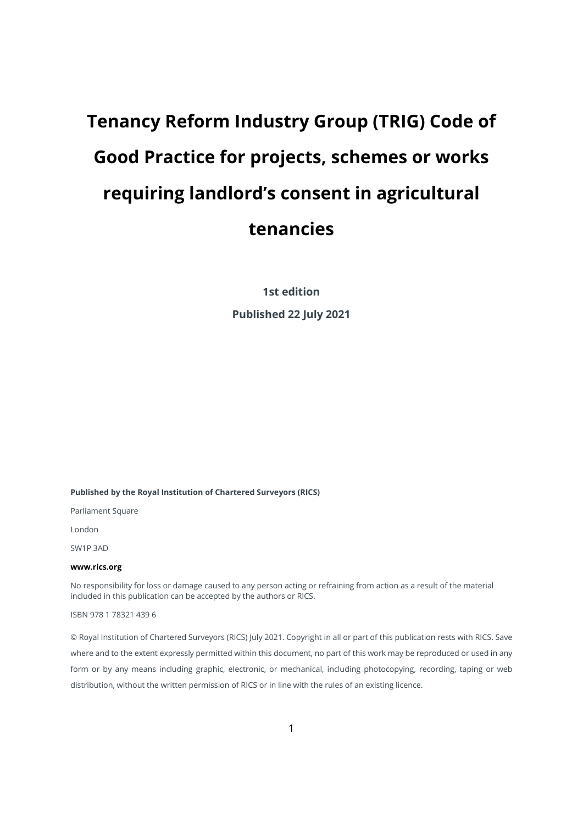# **Tenancy Reform Industry Group (TRIG) Code of Good Practice for projects, schemes or works requiring landlord's consent in agricultural tenancies**

**1st edition**

**Published 22 July 2021**

#### **Published by the Royal Institution of Chartered Surveyors (RICS)**

Parliament Square

London

SW1P 3AD

#### **[www.rics.org](https://protect-eu.mimecast.com/s/LB82CJ68wSQRogYUGzWcu?domain=gbr01.safelinks.protection.outlook.com)**

No responsibility for loss or damage caused to any person acting or refraining from action as a result of the material included in this publication can be accepted by the authors or RICS.

ISBN 978 1 78321 439 6

© Royal Institution of Chartered Surveyors (RICS) July 2021. Copyright in all or part of this publication rests with RICS. Save where and to the extent expressly permitted within this document, no part of this work may be reproduced or used in any form or by any means including graphic, electronic, or mechanical, including photocopying, recording, taping or web distribution, without the written permission of RICS or in line with the rules of an existing licence.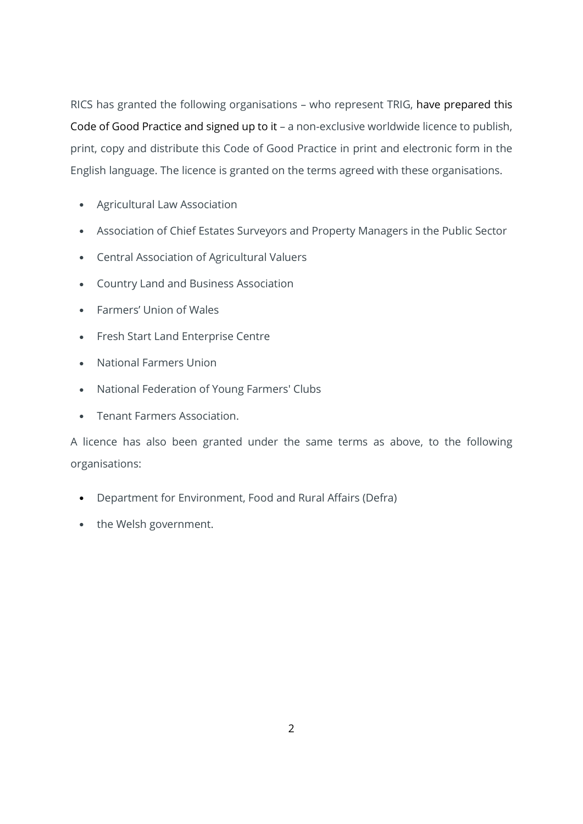RICS has granted the following organisations – who represent TRIG, have prepared this Code of Good Practice and signed up to it – a non-exclusive worldwide licence to publish, print, copy and distribute this Code of Good Practice in print and electronic form in the English language. The licence is granted on the terms agreed with these organisations.

- Agricultural Law Association
- Association of Chief Estates Surveyors and Property Managers in the Public Sector
- Central Association of Agricultural Valuers
- Country Land and Business Association
- Farmers' Union of Wales
- Fresh Start Land Enterprise Centre
- National Farmers Union
- National Federation of Young Farmers' Clubs
- Tenant Farmers Association.

A licence has also been granted under the same terms as above, to the following organisations:

- Department for Environment, Food and Rural Affairs (Defra)
- the Welsh government.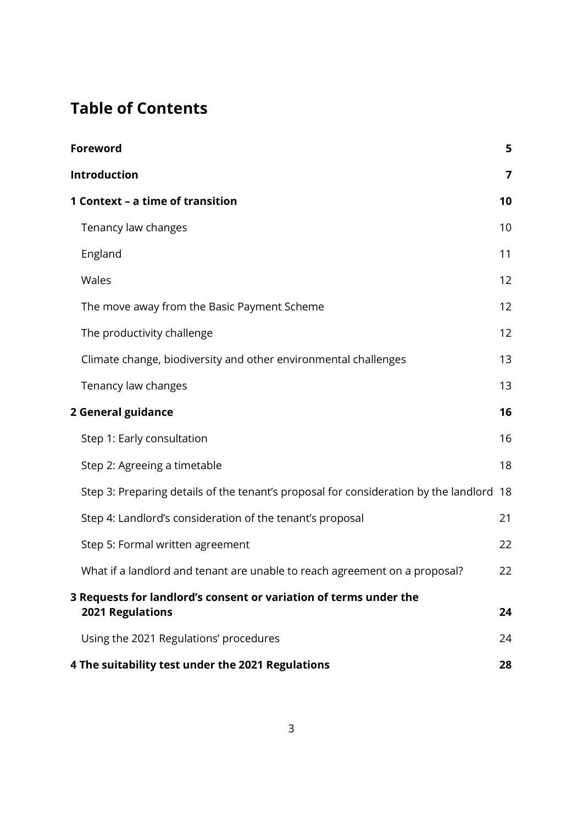# **Table of Contents**

| Foreword                                                                                | 5  |
|-----------------------------------------------------------------------------------------|----|
| <b>Introduction</b>                                                                     | 7  |
| 1 Context - a time of transition                                                        | 10 |
| Tenancy law changes                                                                     | 10 |
| England                                                                                 | 11 |
| Wales                                                                                   | 12 |
| The move away from the Basic Payment Scheme                                             | 12 |
| The productivity challenge                                                              | 12 |
| Climate change, biodiversity and other environmental challenges                         | 13 |
| Tenancy law changes                                                                     | 13 |
| 2 General guidance                                                                      | 16 |
| Step 1: Early consultation                                                              | 16 |
| Step 2: Agreeing a timetable                                                            | 18 |
| Step 3: Preparing details of the tenant's proposal for consideration by the landlord 18 |    |
| Step 4: Landlord's consideration of the tenant's proposal                               | 21 |
| Step 5: Formal written agreement                                                        | 22 |
| What if a landlord and tenant are unable to reach agreement on a proposal?              | 22 |
| 3 Requests for landlord's consent or variation of terms under the<br>2021 Regulations   | 24 |
| Using the 2021 Regulations' procedures                                                  | 24 |
| 4 The suitability test under the 2021 Regulations                                       | 28 |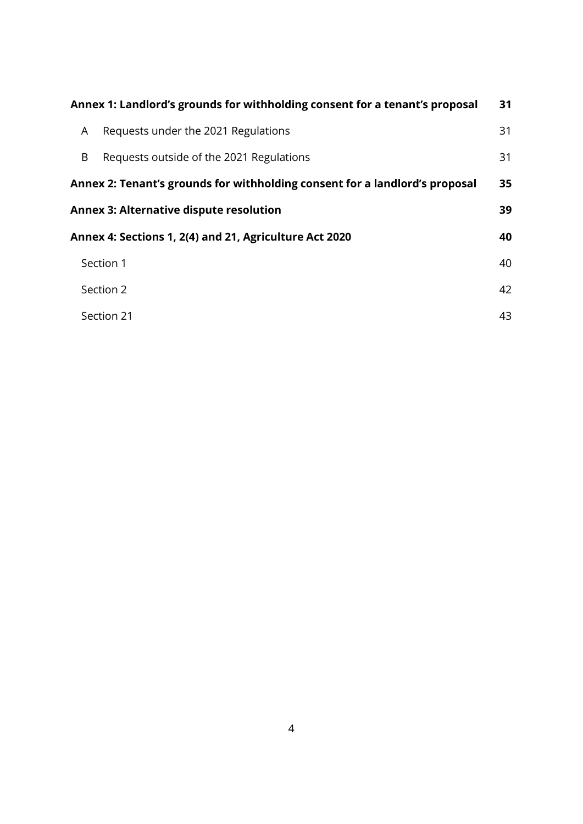| Annex 1: Landlord's grounds for withholding consent for a tenant's proposal |                                                                             | 31 |
|-----------------------------------------------------------------------------|-----------------------------------------------------------------------------|----|
| A                                                                           | Requests under the 2021 Regulations                                         | 31 |
| B                                                                           | Requests outside of the 2021 Regulations                                    | 31 |
|                                                                             | Annex 2: Tenant's grounds for withholding consent for a landlord's proposal | 35 |
|                                                                             | <b>Annex 3: Alternative dispute resolution</b>                              | 39 |
|                                                                             | Annex 4: Sections 1, 2(4) and 21, Agriculture Act 2020                      | 40 |
|                                                                             | Section 1                                                                   | 40 |
|                                                                             | Section 2                                                                   | 42 |
|                                                                             | Section 21                                                                  | 43 |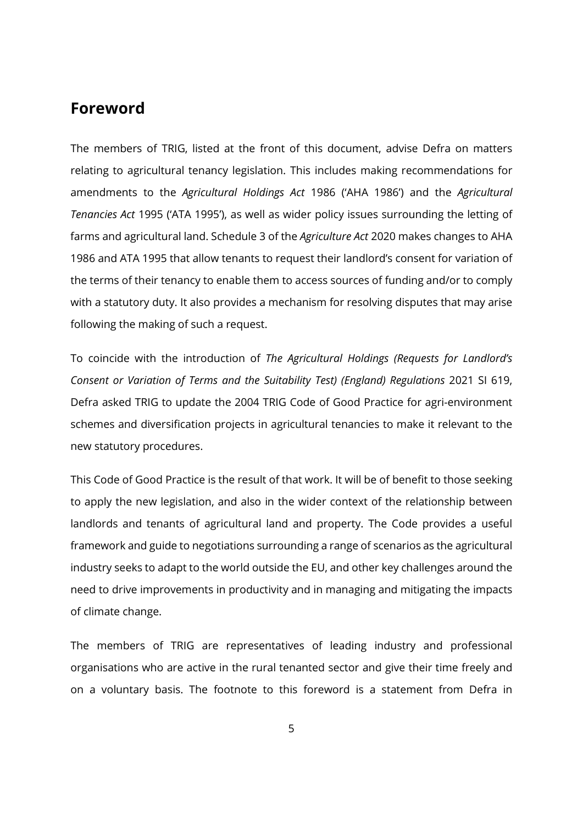# <span id="page-4-0"></span>**Foreword**

The members of TRIG, listed at the front of this document, advise Defra on matters relating to agricultural tenancy legislation. This includes making recommendations for amendments to the *Agricultural Holdings Act* 1986 ('AHA 1986') and the *Agricultural Tenancies Act* 1995 ('ATA 1995'), as well as wider policy issues surrounding the letting of farms and agricultural land. Schedule 3 of the *Agriculture Act* 2020 makes changes to AHA 1986 and ATA 1995 that allow tenants to request their landlord's consent for variation of the terms of their tenancy to enable them to access sources of funding and/or to comply with a statutory duty. It also provides a mechanism for resolving disputes that may arise following the making of such a request.

To coincide with the introduction of *The Agricultural Holdings (Requests for Landlord's Consent or Variation of Terms and the Suitability Test) (England) Regulations* 2021 SI 619, Defra asked TRIG to update the 2004 TRIG Code of Good Practice for agri-environment schemes and diversification projects in agricultural tenancies to make it relevant to the new statutory procedures.

This Code of Good Practice is the result of that work. It will be of benefit to those seeking to apply the new legislation, and also in the wider context of the relationship between landlords and tenants of agricultural land and property. The Code provides a useful framework and guide to negotiations surrounding a range of scenarios as the agricultural industry seeks to adapt to the world outside the EU, and other key challenges around the need to drive improvements in productivity and in managing and mitigating the impacts of climate change.

The members of TRIG are representatives of leading industry and professional organisations who are active in the rural tenanted sector and give their time freely and on a voluntary basis. The footnote to this foreword is a statement from Defra in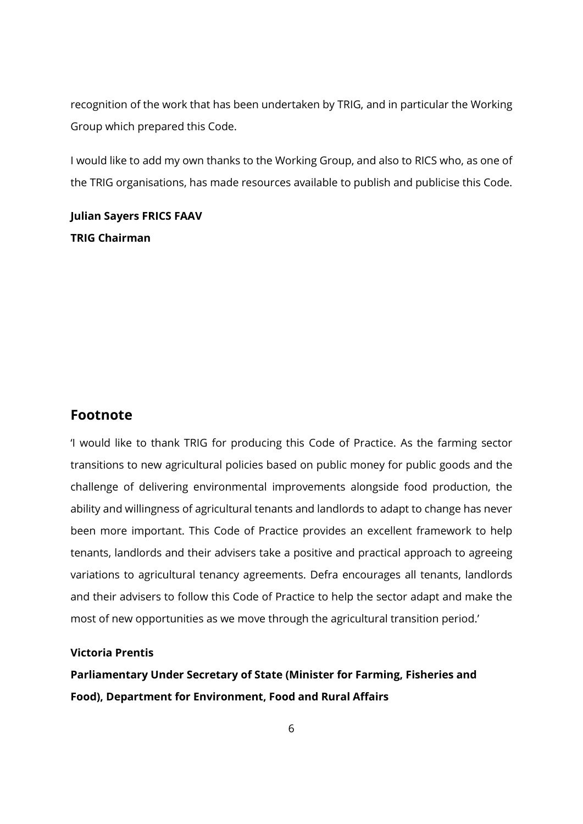recognition of the work that has been undertaken by TRIG, and in particular the Working Group which prepared this Code.

I would like to add my own thanks to the Working Group, and also to RICS who, as one of the TRIG organisations, has made resources available to publish and publicise this Code.

**Julian Sayers FRICS FAAV TRIG Chairman**

#### **Footnote**

'I would like to thank TRIG for producing this Code of Practice. As the farming sector transitions to new agricultural policies based on public money for public goods and the challenge of delivering environmental improvements alongside food production, the ability and willingness of agricultural tenants and landlords to adapt to change has never been more important. This Code of Practice provides an excellent framework to help tenants, landlords and their advisers take a positive and practical approach to agreeing variations to agricultural tenancy agreements. Defra encourages all tenants, landlords and their advisers to follow this Code of Practice to help the sector adapt and make the most of new opportunities as we move through the agricultural transition period.'

#### **Victoria Prentis**

**Parliamentary Under Secretary of State (Minister for Farming, Fisheries and Food), Department for Environment, Food and Rural Affairs**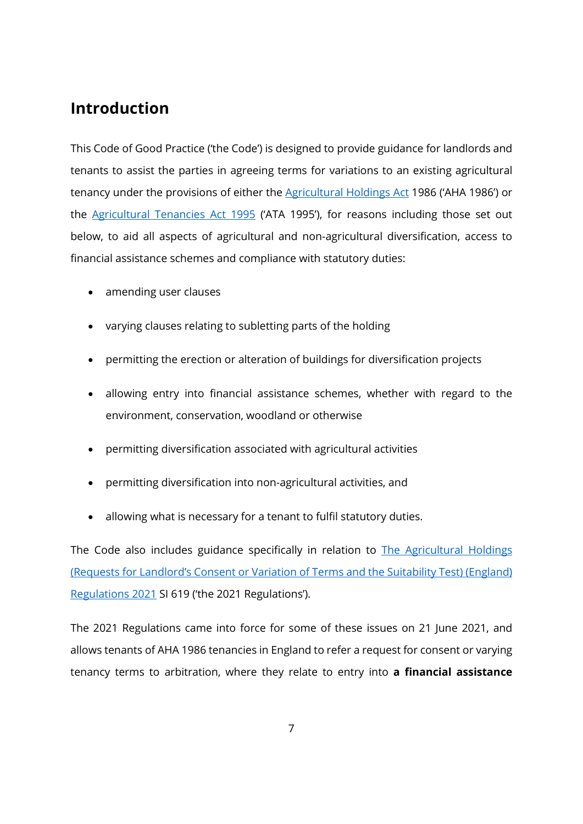# <span id="page-6-0"></span>**Introduction**

This Code of Good Practice ('the Code') is designed to provide guidance for landlords and tenants to assist the parties in agreeing terms for variations to an existing agricultural tenancy under the provisions of either the **Agricultural Holdings Act 1986** ('AHA 1986') or the [Agricultural Tenancies Act 1995](https://www.legislation.gov.uk/ukpga/1995/8/contents) ('ATA 1995'), for reasons including those set out below, to aid all aspects of agricultural and non-agricultural diversification, access to financial assistance schemes and compliance with statutory duties:

- amending user clauses
- varying clauses relating to subletting parts of the holding
- permitting the erection or alteration of buildings for diversification projects
- allowing entry into financial assistance schemes, whether with regard to the environment, conservation, woodland or otherwise
- permitting diversification associated with agricultural activities
- permitting diversification into non-agricultural activities, and
- allowing what is necessary for a tenant to fulfil statutory duties.

The Code also includes guidance specifically in relation to **The Agricultural Holdings** [\(Requests for Landlord's Consent or Variation of Terms and the Suitability Test\) \(England\)](https://www.legislation.gov.uk/uksi/2021/619/contents/made)  [Regulations 2021](https://www.legislation.gov.uk/uksi/2021/619/contents/made) SI 619 ('the 2021 Regulations').

The 2021 Regulations came into force for some of these issues on 21 June 2021, and allows tenants of AHA 1986 tenancies in England to refer a request for consent or varying tenancy terms to arbitration, where they relate to entry into **a financial assistance**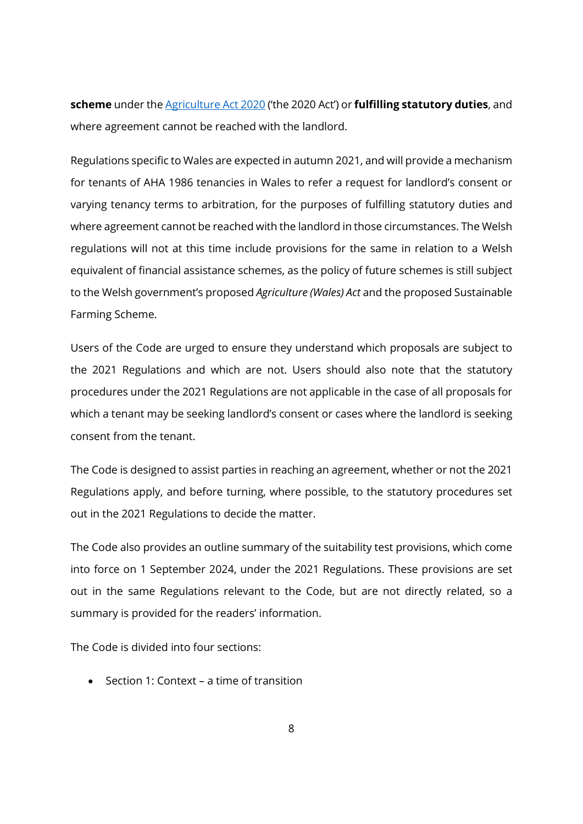**scheme** under the [Agriculture Act 2020](https://www.legislation.gov.uk/ukpga/2020/21/contents) ('the 2020 Act') or **fulfilling statutory duties**, and where agreement cannot be reached with the landlord.

Regulations specific to Wales are expected in autumn 2021, and will provide a mechanism for tenants of AHA 1986 tenancies in Wales to refer a request for landlord's consent or varying tenancy terms to arbitration, for the purposes of fulfilling statutory duties and where agreement cannot be reached with the landlord in those circumstances. The Welsh regulations will not at this time include provisions for the same in relation to a Welsh equivalent of financial assistance schemes, as the policy of future schemes is still subject to the Welsh government's proposed *Agriculture (Wales) Act* and the proposed Sustainable Farming Scheme.

Users of the Code are urged to ensure they understand which proposals are subject to the 2021 Regulations and which are not. Users should also note that the statutory procedures under the 2021 Regulations are not applicable in the case of all proposals for which a tenant may be seeking landlord's consent or cases where the landlord is seeking consent from the tenant.

The Code is designed to assist parties in reaching an agreement, whether or not the 2021 Regulations apply, and before turning, where possible, to the statutory procedures set out in the 2021 Regulations to decide the matter.

The Code also provides an outline summary of the suitability test provisions, which come into force on 1 September 2024, under the 2021 Regulations. These provisions are set out in the same Regulations relevant to the Code, but are not directly related, so a summary is provided for the readers' information.

The Code is divided into four sections:

• Section 1: Context – a time of transition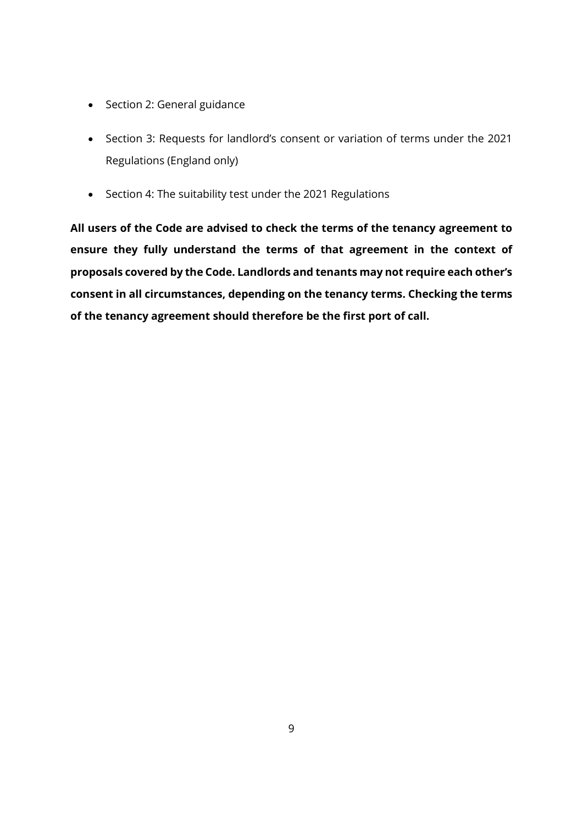- Section 2: General guidance
- Section 3: Requests for landlord's consent or variation of terms under the 2021 Regulations (England only)
- Section 4: The suitability test under the 2021 Regulations

**All users of the Code are advised to check the terms of the tenancy agreement to ensure they fully understand the terms of that agreement in the context of proposals covered by the Code. Landlords and tenants may not require each other's consent in all circumstances, depending on the tenancy terms. Checking the terms of the tenancy agreement should therefore be the first port of call.**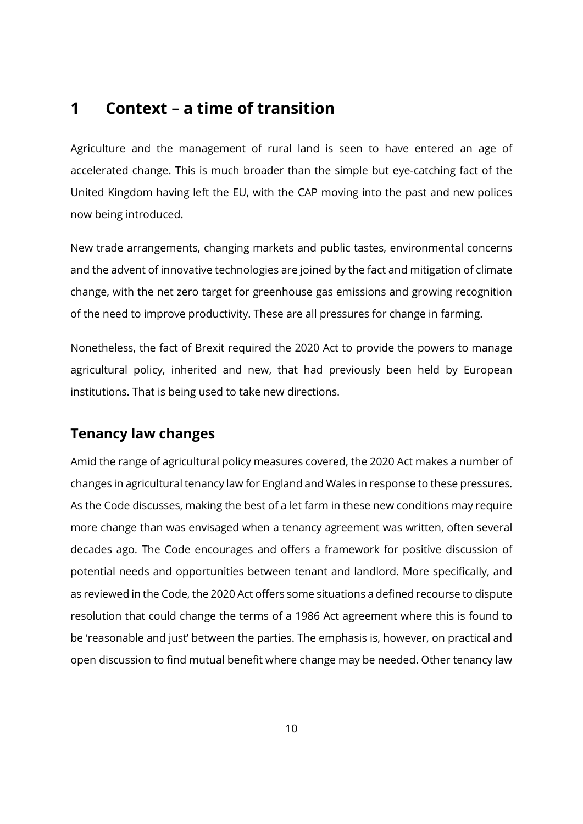# <span id="page-9-1"></span><span id="page-9-0"></span>**1 Context – a time of transition**

Agriculture and the management of rural land is seen to have entered an age of accelerated change. This is much broader than the simple but eye-catching fact of the United Kingdom having left the EU, with the CAP moving into the past and new polices now being introduced.

New trade arrangements, changing markets and public tastes, environmental concerns and the advent of innovative technologies are joined by the fact and mitigation of climate change, with the net zero target for greenhouse gas emissions and growing recognition of the need to improve productivity. These are all pressures for change in farming.

Nonetheless, the fact of Brexit required the 2020 Act to provide the powers to manage agricultural policy, inherited and new, that had previously been held by European institutions. That is being used to take new directions.

### <span id="page-9-2"></span>**Tenancy law changes**

Amid the range of agricultural policy measures covered, the 2020 Act makes a number of changes in agricultural tenancy law for England and Wales in response to these pressures. As the Code discusses, making the best of a let farm in these new conditions may require more change than was envisaged when a tenancy agreement was written, often several decades ago. The Code encourages and offers a framework for positive discussion of potential needs and opportunities between tenant and landlord. More specifically, and as reviewed in the Code, the 2020 Act offers some situations a defined recourse to dispute resolution that could change the terms of a 1986 Act agreement where this is found to be 'reasonable and just' between the parties. The emphasis is, however, on practical and open discussion to find mutual benefit where change may be needed. Other tenancy law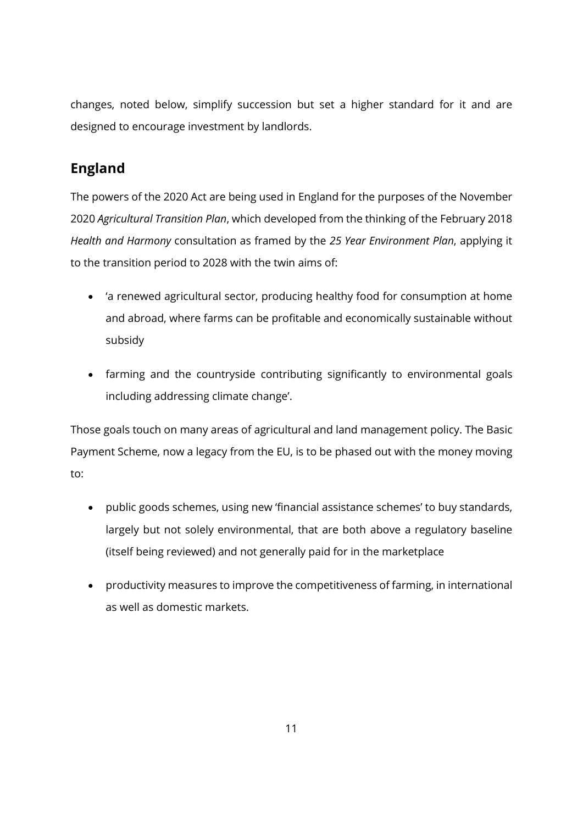changes, noted below, simplify succession but set a higher standard for it and are designed to encourage investment by landlords.

# <span id="page-10-0"></span>**England**

The powers of the 2020 Act are being used in England for the purposes of the November 2020 *Agricultural Transition Plan*, which developed from the thinking of the February 2018 *Health and Harmony* consultation as framed by the *25 Year Environment Plan*, applying it to the transition period to 2028 with the twin aims of:

- 'a renewed agricultural sector, producing healthy food for consumption at home and abroad, where farms can be profitable and economically sustainable without subsidy
- farming and the countryside contributing significantly to environmental goals including addressing climate change'.

Those goals touch on many areas of agricultural and land management policy. The Basic Payment Scheme, now a legacy from the EU, is to be phased out with the money moving to:

- public goods schemes, using new 'financial assistance schemes' to buy standards, largely but not solely environmental, that are both above a regulatory baseline (itself being reviewed) and not generally paid for in the marketplace
- productivity measures to improve the competitiveness of farming, in international as well as domestic markets.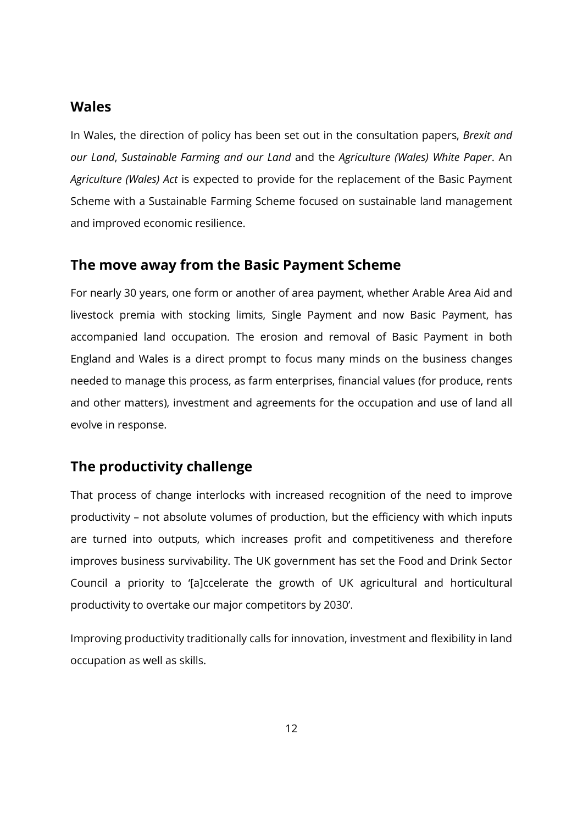### <span id="page-11-0"></span>**Wales**

In Wales, the direction of policy has been set out in the consultation papers, *Brexit and our Land*, *Sustainable Farming and our Land* and the *Agriculture (Wales) White Paper*. An *Agriculture (Wales) Act* is expected to provide for the replacement of the Basic Payment Scheme with a Sustainable Farming Scheme focused on sustainable land management and improved economic resilience.

### <span id="page-11-1"></span>**The move away from the Basic Payment Scheme**

For nearly 30 years, one form or another of area payment, whether Arable Area Aid and livestock premia with stocking limits, Single Payment and now Basic Payment, has accompanied land occupation. The erosion and removal of Basic Payment in both England and Wales is a direct prompt to focus many minds on the business changes needed to manage this process, as farm enterprises, financial values (for produce, rents and other matters), investment and agreements for the occupation and use of land all evolve in response.

## <span id="page-11-2"></span>**The productivity challenge**

That process of change interlocks with increased recognition of the need to improve productivity – not absolute volumes of production, but the efficiency with which inputs are turned into outputs, which increases profit and competitiveness and therefore improves business survivability. The UK government has set the Food and Drink Sector Council a priority to '[a]ccelerate the growth of UK agricultural and horticultural productivity to overtake our major competitors by 2030'.

Improving productivity traditionally calls for innovation, investment and flexibility in land occupation as well as skills.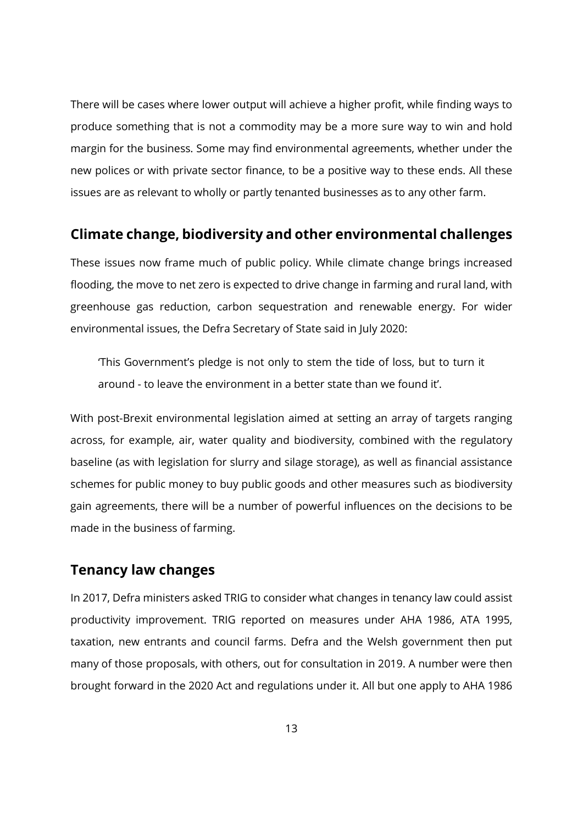There will be cases where lower output will achieve a higher profit, while finding ways to produce something that is not a commodity may be a more sure way to win and hold margin for the business. Some may find environmental agreements, whether under the new polices or with private sector finance, to be a positive way to these ends. All these issues are as relevant to wholly or partly tenanted businesses as to any other farm.

### <span id="page-12-0"></span>**Climate change, biodiversity and other environmental challenges**

These issues now frame much of public policy. While climate change brings increased flooding, the move to net zero is expected to drive change in farming and rural land, with greenhouse gas reduction, carbon sequestration and renewable energy. For wider environmental issues, the Defra Secretary of State said in July 2020:

'This Government's pledge is not only to stem the tide of loss, but to turn it around - to leave the environment in a better state than we found it'.

With post-Brexit environmental legislation aimed at setting an array of targets ranging across, for example, air, water quality and biodiversity, combined with the regulatory baseline (as with legislation for slurry and silage storage), as well as financial assistance schemes for public money to buy public goods and other measures such as biodiversity gain agreements, there will be a number of powerful influences on the decisions to be made in the business of farming.

### <span id="page-12-1"></span>**Tenancy law changes**

In 2017, Defra ministers asked TRIG to consider what changes in tenancy law could assist productivity improvement. TRIG reported on measures under AHA 1986, ATA 1995, taxation, new entrants and council farms. Defra and the Welsh government then put many of those proposals, with others, out for consultation in 2019. A number were then brought forward in the 2020 Act and regulations under it. All but one apply to AHA 1986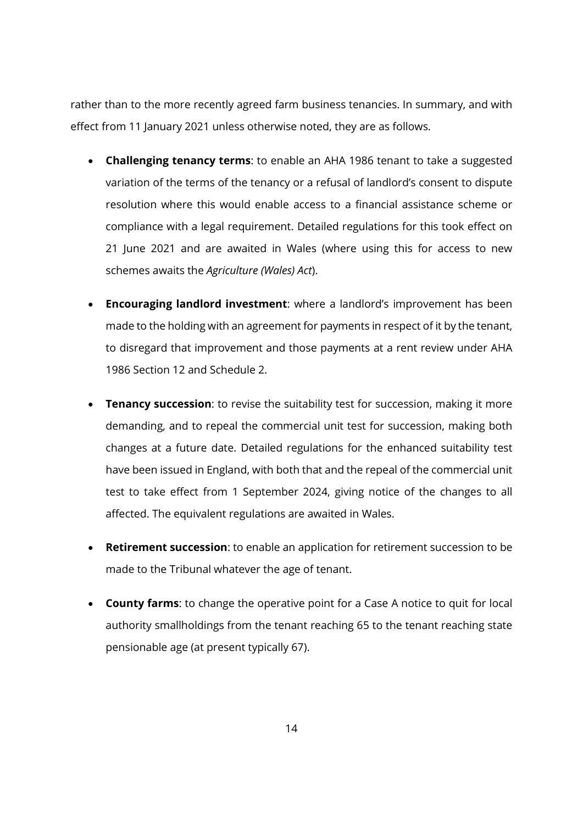rather than to the more recently agreed farm business tenancies. In summary, and with effect from 11 January 2021 unless otherwise noted, they are as follows.

- **Challenging tenancy terms**: to enable an AHA 1986 tenant to take a suggested variation of the terms of the tenancy or a refusal of landlord's consent to dispute resolution where this would enable access to a financial assistance scheme or compliance with a legal requirement. Detailed regulations for this took effect on 21 June 2021 and are awaited in Wales (where using this for access to new schemes awaits the *Agriculture (Wales) Act*).
- **Encouraging landlord investment**: where a landlord's improvement has been made to the holding with an agreement for payments in respect of it by the tenant, to disregard that improvement and those payments at a rent review under AHA 1986 Section 12 and Schedule 2.
- **Tenancy succession**: to revise the suitability test for succession, making it more demanding, and to repeal the commercial unit test for succession, making both changes at a future date. Detailed regulations for the enhanced suitability test have been issued in England, with both that and the repeal of the commercial unit test to take effect from 1 September 2024, giving notice of the changes to all affected. The equivalent regulations are awaited in Wales.
- **Retirement succession**: to enable an application for retirement succession to be made to the Tribunal whatever the age of tenant.
- **County farms**: to change the operative point for a Case A notice to quit for local authority smallholdings from the tenant reaching 65 to the tenant reaching state pensionable age (at present typically 67).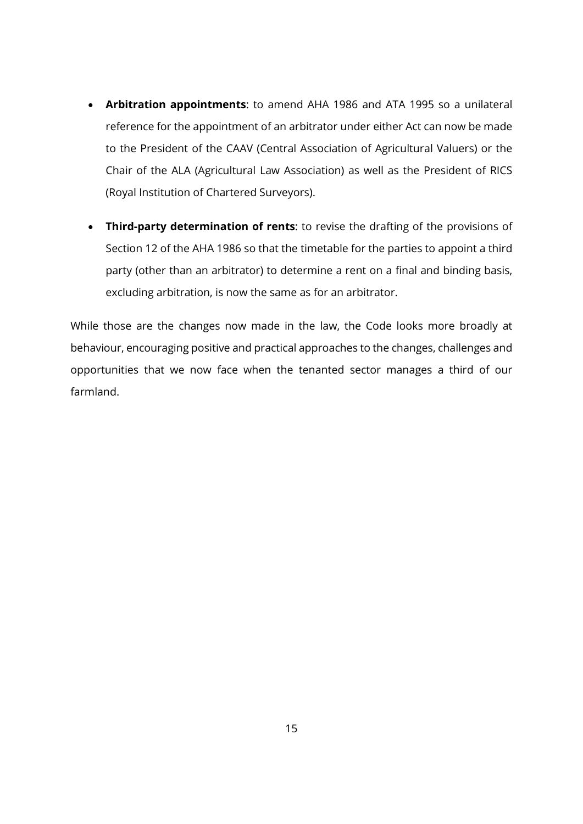- **Arbitration appointments**: to amend AHA 1986 and ATA 1995 so a unilateral reference for the appointment of an arbitrator under either Act can now be made to the President of the CAAV (Central Association of Agricultural Valuers) or the Chair of the ALA (Agricultural Law Association) as well as the President of RICS (Royal Institution of Chartered Surveyors).
- **Third-party determination of rents**: to revise the drafting of the provisions of Section 12 of the AHA 1986 so that the timetable for the parties to appoint a third party (other than an arbitrator) to determine a rent on a final and binding basis, excluding arbitration, is now the same as for an arbitrator.

While those are the changes now made in the law, the Code looks more broadly at behaviour, encouraging positive and practical approaches to the changes, challenges and opportunities that we now face when the tenanted sector manages a third of our farmland.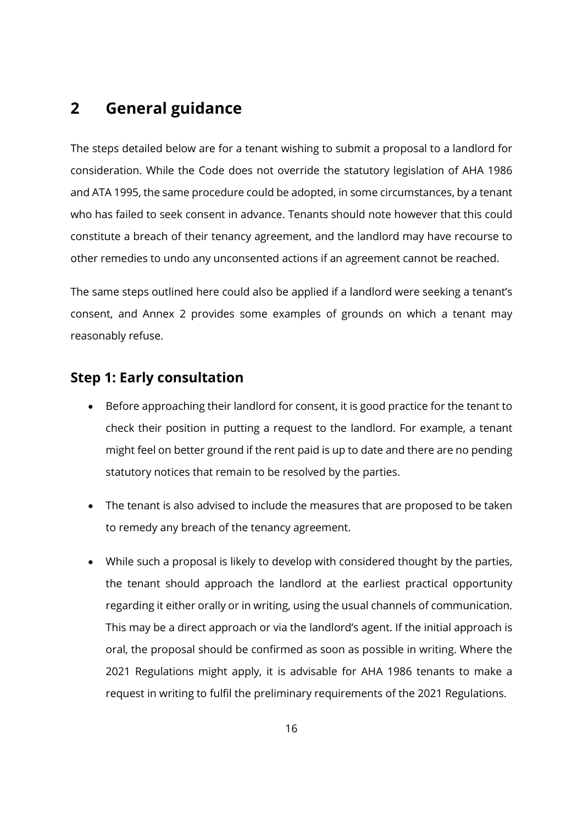# <span id="page-15-1"></span><span id="page-15-0"></span>**2 General guidance**

The steps detailed below are for a tenant wishing to submit a proposal to a landlord for consideration. While the Code does not override the statutory legislation of AHA 1986 and ATA 1995, the same procedure could be adopted, in some circumstances, by a tenant who has failed to seek consent in advance. Tenants should note however that this could constitute a breach of their tenancy agreement, and the landlord may have recourse to other remedies to undo any unconsented actions if an agreement cannot be reached.

The same steps outlined here could also be applied if a landlord were seeking a tenant's consent, and Annex 2 provides some examples of grounds on which a tenant may reasonably refuse.

# <span id="page-15-2"></span>**Step 1: Early consultation**

- Before approaching their landlord for consent, it is good practice for the tenant to check their position in putting a request to the landlord. For example, a tenant might feel on better ground if the rent paid is up to date and there are no pending statutory notices that remain to be resolved by the parties.
- The tenant is also advised to include the measures that are proposed to be taken to remedy any breach of the tenancy agreement.
- While such a proposal is likely to develop with considered thought by the parties, the tenant should approach the landlord at the earliest practical opportunity regarding it either orally or in writing, using the usual channels of communication. This may be a direct approach or via the landlord's agent. If the initial approach is oral, the proposal should be confirmed as soon as possible in writing. Where the 2021 Regulations might apply, it is advisable for AHA 1986 tenants to make a request in writing to fulfil the preliminary requirements of the 2021 Regulations.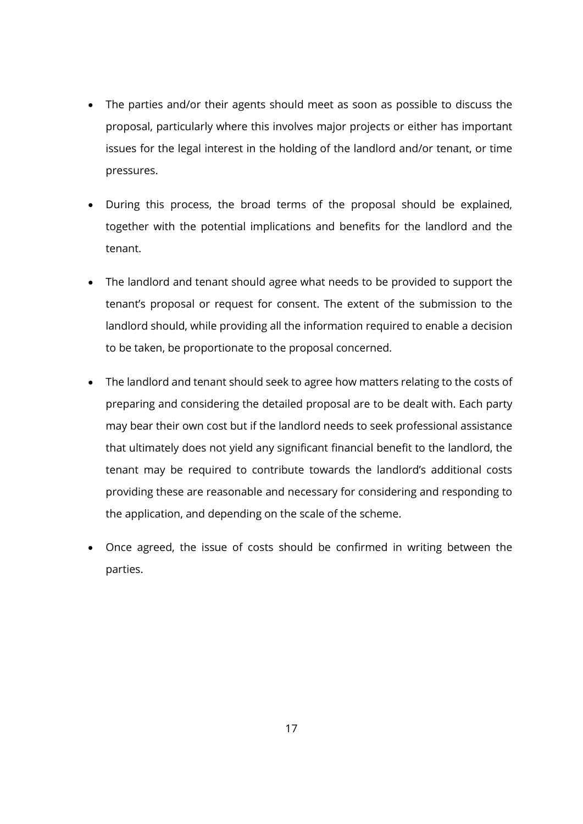- The parties and/or their agents should meet as soon as possible to discuss the proposal, particularly where this involves major projects or either has important issues for the legal interest in the holding of the landlord and/or tenant, or time pressures.
- During this process, the broad terms of the proposal should be explained, together with the potential implications and benefits for the landlord and the tenant.
- The landlord and tenant should agree what needs to be provided to support the tenant's proposal or request for consent. The extent of the submission to the landlord should, while providing all the information required to enable a decision to be taken, be proportionate to the proposal concerned.
- The landlord and tenant should seek to agree how matters relating to the costs of preparing and considering the detailed proposal are to be dealt with. Each party may bear their own cost but if the landlord needs to seek professional assistance that ultimately does not yield any significant financial benefit to the landlord, the tenant may be required to contribute towards the landlord's additional costs providing these are reasonable and necessary for considering and responding to the application, and depending on the scale of the scheme.
- Once agreed, the issue of costs should be confirmed in writing between the parties.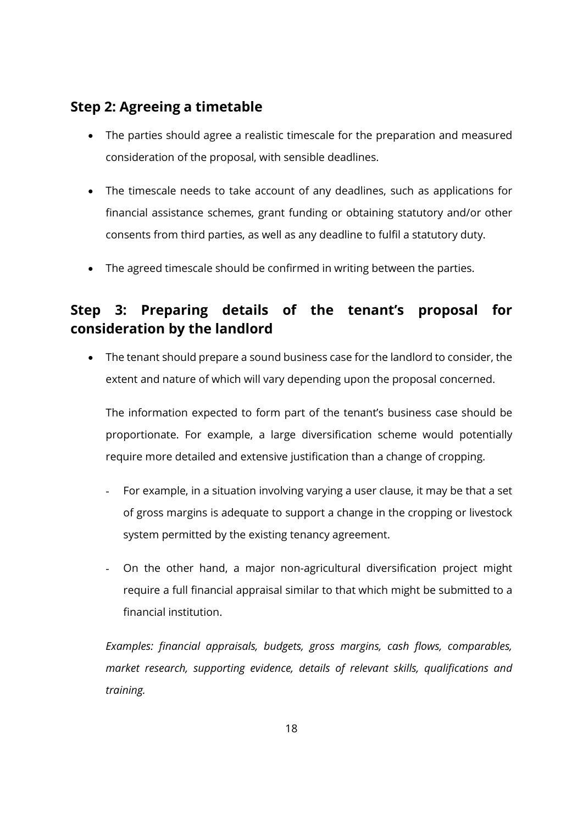# <span id="page-17-0"></span>**Step 2: Agreeing a timetable**

- The parties should agree a realistic timescale for the preparation and measured consideration of the proposal, with sensible deadlines.
- The timescale needs to take account of any deadlines, such as applications for financial assistance schemes, grant funding or obtaining statutory and/or other consents from third parties, as well as any deadline to fulfil a statutory duty.
- The agreed timescale should be confirmed in writing between the parties.

# <span id="page-17-1"></span>**Step 3: Preparing details of the tenant's proposal for consideration by the landlord**

• The tenant should prepare a sound business case for the landlord to consider, the extent and nature of which will vary depending upon the proposal concerned.

The information expected to form part of the tenant's business case should be proportionate. For example, a large diversification scheme would potentially require more detailed and extensive justification than a change of cropping.

- For example, in a situation involving varying a user clause, it may be that a set of gross margins is adequate to support a change in the cropping or livestock system permitted by the existing tenancy agreement.
- On the other hand, a major non-agricultural diversification project might require a full financial appraisal similar to that which might be submitted to a financial institution.

*Examples: financial appraisals, budgets, gross margins, cash flows, comparables, market research, supporting evidence, details of relevant skills, qualifications and training.*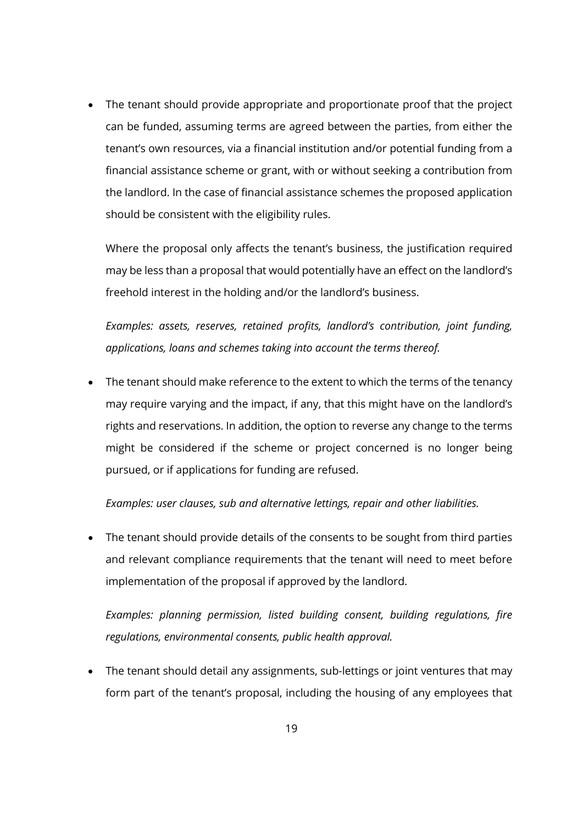• The tenant should provide appropriate and proportionate proof that the project can be funded, assuming terms are agreed between the parties, from either the tenant's own resources, via a financial institution and/or potential funding from a financial assistance scheme or grant, with or without seeking a contribution from the landlord. In the case of financial assistance schemes the proposed application should be consistent with the eligibility rules.

Where the proposal only affects the tenant's business, the justification required may be less than a proposal that would potentially have an effect on the landlord's freehold interest in the holding and/or the landlord's business.

*Examples: assets, reserves, retained profits, landlord's contribution, joint funding, applications, loans and schemes taking into account the terms thereof.*

• The tenant should make reference to the extent to which the terms of the tenancy may require varying and the impact, if any, that this might have on the landlord's rights and reservations. In addition, the option to reverse any change to the terms might be considered if the scheme or project concerned is no longer being pursued, or if applications for funding are refused.

*Examples: user clauses, sub and alternative lettings, repair and other liabilities.*

• The tenant should provide details of the consents to be sought from third parties and relevant compliance requirements that the tenant will need to meet before implementation of the proposal if approved by the landlord.

*Examples: planning permission, listed building consent, building regulations, fire regulations, environmental consents, public health approval.*

• The tenant should detail any assignments, sub-lettings or joint ventures that may form part of the tenant's proposal, including the housing of any employees that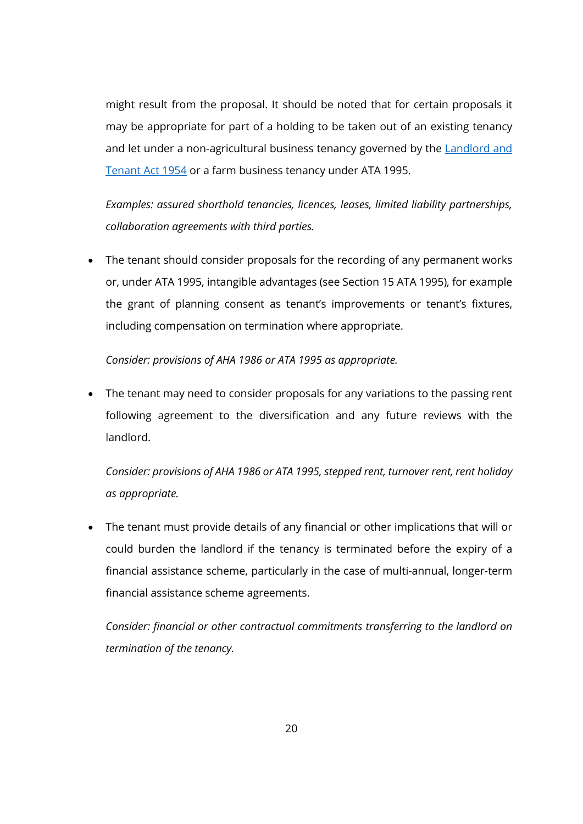might result from the proposal. It should be noted that for certain proposals it may be appropriate for part of a holding to be taken out of an existing tenancy and let under a non-agricultural business tenancy governed by the **Landlord and** [Tenant Act 1954](https://www.legislation.gov.uk/ukpga/Eliz2/2-3/56/contents) or a farm business tenancy under ATA 1995.

*Examples: assured shorthold tenancies, licences, leases, limited liability partnerships, collaboration agreements with third parties.*

• The tenant should consider proposals for the recording of any permanent works or, under ATA 1995, intangible advantages (see Section 15 ATA 1995), for example the grant of planning consent as tenant's improvements or tenant's fixtures, including compensation on termination where appropriate.

*Consider: provisions of AHA 1986 or ATA 1995 as appropriate.*

• The tenant may need to consider proposals for any variations to the passing rent following agreement to the diversification and any future reviews with the landlord.

*Consider: provisions of AHA 1986 or ATA 1995, stepped rent, turnover rent, rent holiday as appropriate.*

• The tenant must provide details of any financial or other implications that will or could burden the landlord if the tenancy is terminated before the expiry of a financial assistance scheme, particularly in the case of multi-annual, longer-term financial assistance scheme agreements.

*Consider: financial or other contractual commitments transferring to the landlord on termination of the tenancy.*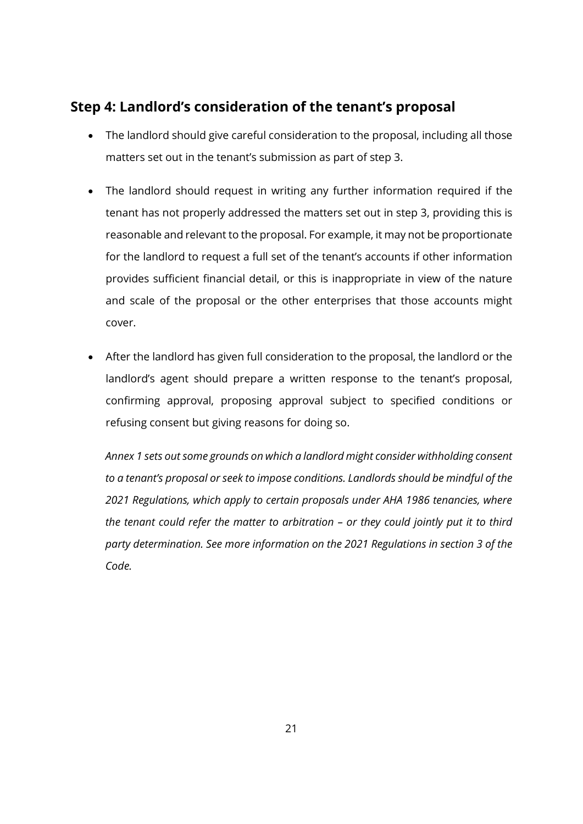## <span id="page-20-0"></span>**Step 4: Landlord's consideration of the tenant's proposal**

- The landlord should give careful consideration to the proposal, including all those matters set out in the tenant's submission as part of step 3.
- The landlord should request in writing any further information required if the tenant has not properly addressed the matters set out in step 3, providing this is reasonable and relevant to the proposal. For example, it may not be proportionate for the landlord to request a full set of the tenant's accounts if other information provides sufficient financial detail, or this is inappropriate in view of the nature and scale of the proposal or the other enterprises that those accounts might cover.
- After the landlord has given full consideration to the proposal, the landlord or the landlord's agent should prepare a written response to the tenant's proposal, confirming approval, proposing approval subject to specified conditions or refusing consent but giving reasons for doing so.

*Annex 1 sets out some grounds on which a landlord might consider withholding consent to a tenant's proposal or seek to impose conditions. Landlords should be mindful of the 2021 Regulations, which apply to certain proposals under AHA 1986 tenancies, where the tenant could refer the matter to arbitration – or they could jointly put it to third party determination. See more information on the 2021 Regulations in section 3 of the Code.*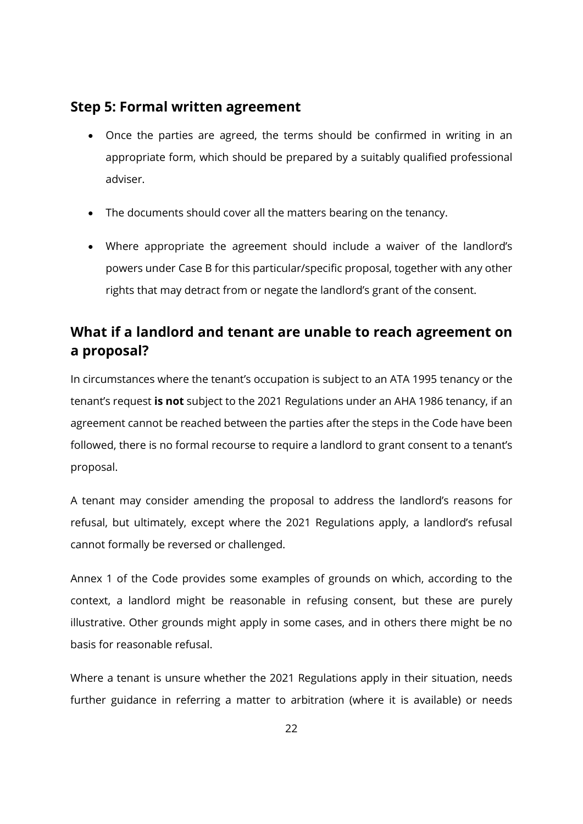### <span id="page-21-0"></span>**Step 5: Formal written agreement**

- Once the parties are agreed, the terms should be confirmed in writing in an appropriate form, which should be prepared by a suitably qualified professional adviser.
- The documents should cover all the matters bearing on the tenancy.
- Where appropriate the agreement should include a waiver of the landlord's powers under Case B for this particular/specific proposal, together with any other rights that may detract from or negate the landlord's grant of the consent.

# <span id="page-21-1"></span>**What if a landlord and tenant are unable to reach agreement on a proposal?**

In circumstances where the tenant's occupation is subject to an ATA 1995 tenancy or the tenant's request **is not** subject to the 2021 Regulations under an AHA 1986 tenancy, if an agreement cannot be reached between the parties after the steps in the Code have been followed, there is no formal recourse to require a landlord to grant consent to a tenant's proposal.

A tenant may consider amending the proposal to address the landlord's reasons for refusal, but ultimately, except where the 2021 Regulations apply, a landlord's refusal cannot formally be reversed or challenged.

Annex 1 of the Code provides some examples of grounds on which, according to the context, a landlord might be reasonable in refusing consent, but these are purely illustrative. Other grounds might apply in some cases, and in others there might be no basis for reasonable refusal.

Where a tenant is unsure whether the 2021 Regulations apply in their situation, needs further guidance in referring a matter to arbitration (where it is available) or needs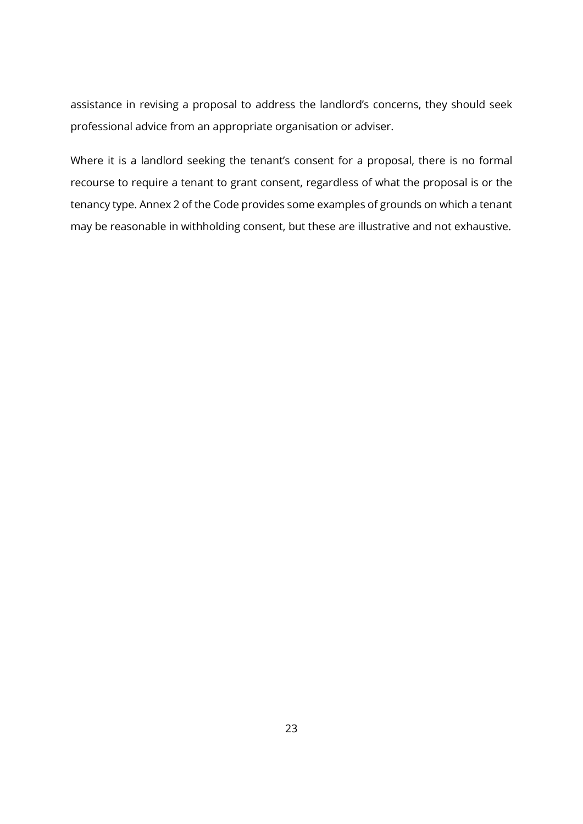assistance in revising a proposal to address the landlord's concerns, they should seek professional advice from an appropriate organisation or adviser.

Where it is a landlord seeking the tenant's consent for a proposal, there is no formal recourse to require a tenant to grant consent, regardless of what the proposal is or the tenancy type. Annex 2 of the Code provides some examples of grounds on which a tenant may be reasonable in withholding consent, but these are illustrative and not exhaustive.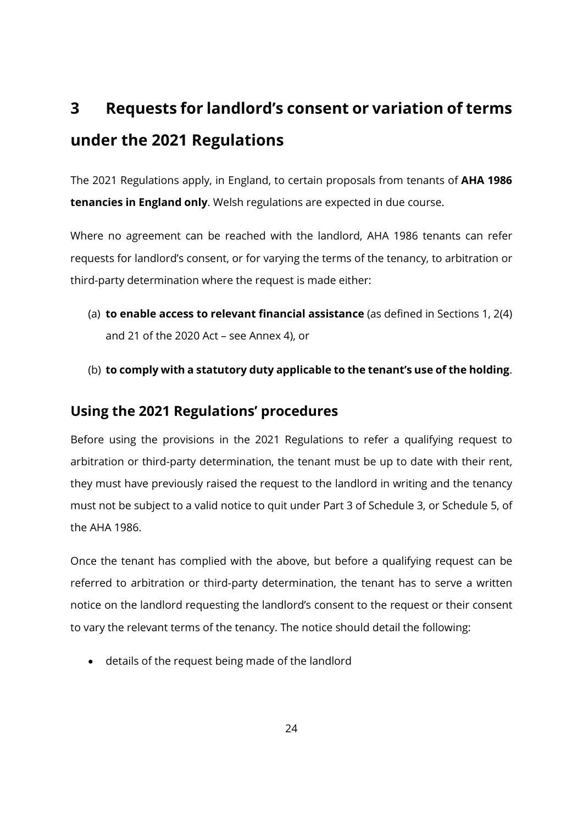# <span id="page-23-1"></span><span id="page-23-0"></span>**3 Requests for landlord's consent or variation of terms under the 2021 Regulations**

The 2021 Regulations apply, in England, to certain proposals from tenants of **AHA 1986 tenancies in England only**. Welsh regulations are expected in due course.

Where no agreement can be reached with the landlord, AHA 1986 tenants can refer requests for landlord's consent, or for varying the terms of the tenancy, to arbitration or third-party determination where the request is made either:

- (a) **to enable access to relevant financial assistance** (as defined in Sections 1, 2(4) and 21 of the 2020 Act – see Annex 4), or
- (b) **to comply with a statutory duty applicable to the tenant's use of the holding**.

### <span id="page-23-2"></span>**Using the 2021 Regulations' procedures**

Before using the provisions in the 2021 Regulations to refer a qualifying request to arbitration or third-party determination, the tenant must be up to date with their rent, they must have previously raised the request to the landlord in writing and the tenancy must not be subject to a valid notice to quit under Part 3 of Schedule 3, or Schedule 5, of the AHA 1986.

Once the tenant has complied with the above, but before a qualifying request can be referred to arbitration or third-party determination, the tenant has to serve a written notice on the landlord requesting the landlord's consent to the request or their consent to vary the relevant terms of the tenancy. The notice should detail the following:

• details of the request being made of the landlord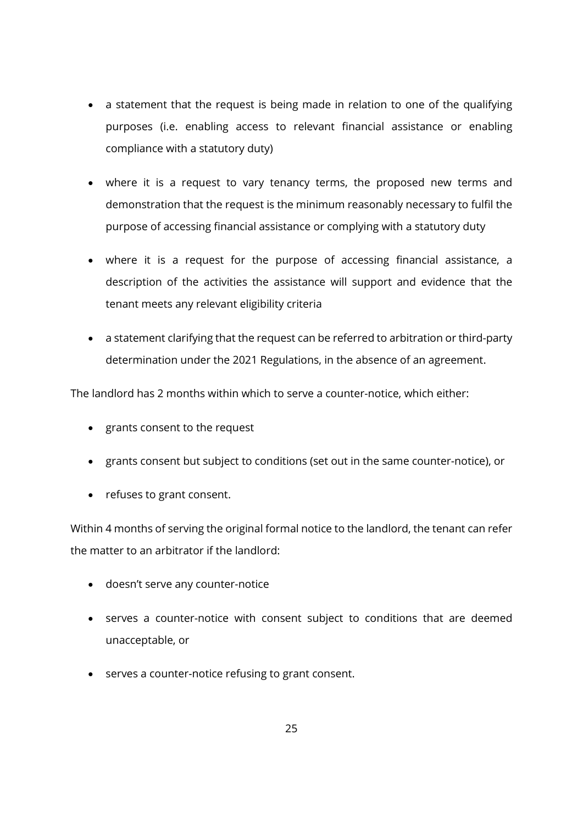- a statement that the request is being made in relation to one of the qualifying purposes (i.e. enabling access to relevant financial assistance or enabling compliance with a statutory duty)
- where it is a request to vary tenancy terms, the proposed new terms and demonstration that the request is the minimum reasonably necessary to fulfil the purpose of accessing financial assistance or complying with a statutory duty
- where it is a request for the purpose of accessing financial assistance, a description of the activities the assistance will support and evidence that the tenant meets any relevant eligibility criteria
- a statement clarifying that the request can be referred to arbitration or third-party determination under the 2021 Regulations, in the absence of an agreement.

The landlord has 2 months within which to serve a counter-notice, which either:

- grants consent to the request
- grants consent but subject to conditions (set out in the same counter-notice), or
- refuses to grant consent.

Within 4 months of serving the original formal notice to the landlord, the tenant can refer the matter to an arbitrator if the landlord:

- doesn't serve any counter-notice
- serves a counter-notice with consent subject to conditions that are deemed unacceptable, or
- serves a counter-notice refusing to grant consent.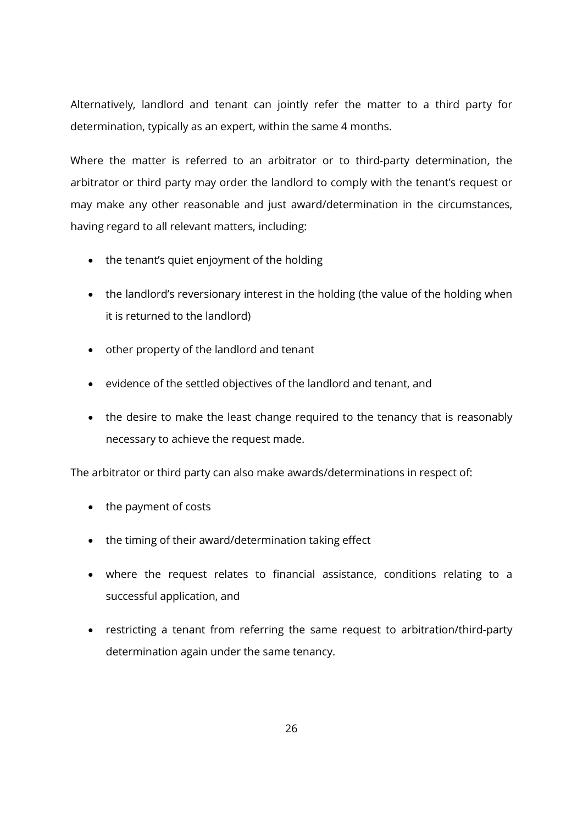Alternatively, landlord and tenant can jointly refer the matter to a third party for determination, typically as an expert, within the same 4 months.

Where the matter is referred to an arbitrator or to third-party determination, the arbitrator or third party may order the landlord to comply with the tenant's request or may make any other reasonable and just award/determination in the circumstances, having regard to all relevant matters, including:

- the tenant's quiet enjoyment of the holding
- the landlord's reversionary interest in the holding (the value of the holding when it is returned to the landlord)
- other property of the landlord and tenant
- evidence of the settled objectives of the landlord and tenant, and
- the desire to make the least change required to the tenancy that is reasonably necessary to achieve the request made.

The arbitrator or third party can also make awards/determinations in respect of:

- the payment of costs
- the timing of their award/determination taking effect
- where the request relates to financial assistance, conditions relating to a successful application, and
- restricting a tenant from referring the same request to arbitration/third-party determination again under the same tenancy.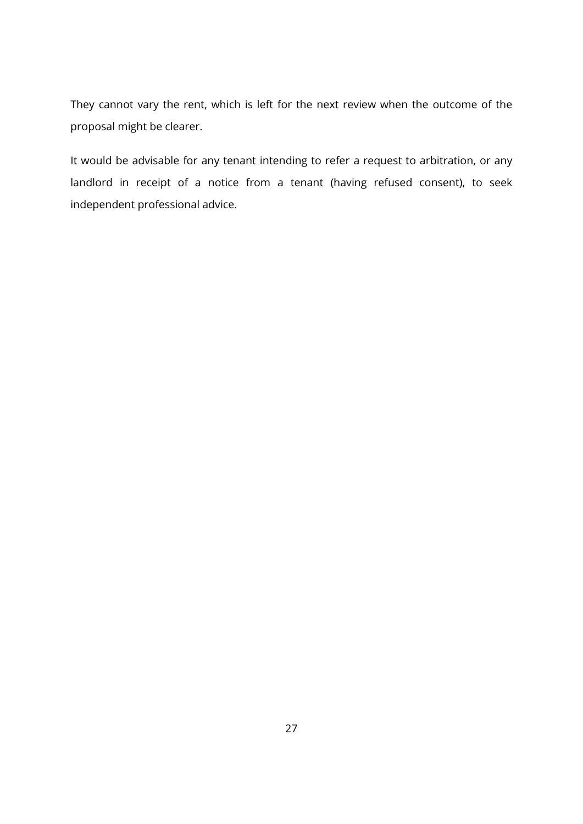They cannot vary the rent, which is left for the next review when the outcome of the proposal might be clearer.

It would be advisable for any tenant intending to refer a request to arbitration, or any landlord in receipt of a notice from a tenant (having refused consent), to seek independent professional advice.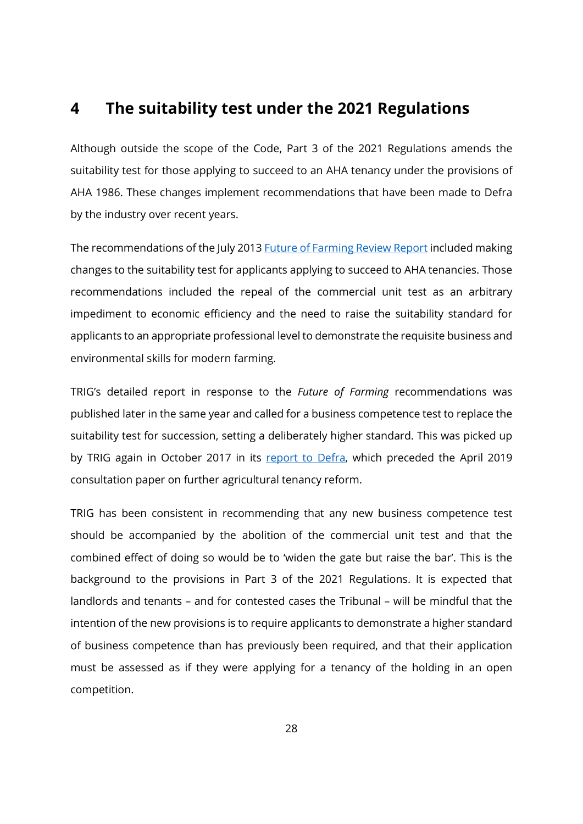## <span id="page-27-1"></span><span id="page-27-0"></span>**4 The suitability test under the 2021 Regulations**

Although outside the scope of the Code, Part 3 of the 2021 Regulations amends the suitability test for those applying to succeed to an AHA tenancy under the provisions of AHA 1986. These changes implement recommendations that have been made to Defra by the industry over recent years.

The recommendations of the July 2013 [Future of Farming Review Report](https://assets.publishing.service.gov.uk/government/uploads/system/uploads/attachment_data/file/211175/pb13982-future-farming-review-20130709.pdf) included making changes to the suitability test for applicants applying to succeed to AHA tenancies. Those recommendations included the repeal of the commercial unit test as an arbitrary impediment to economic efficiency and the need to raise the suitability standard for applicants to an appropriate professional level to demonstrate the requisite business and environmental skills for modern farming.

TRIG's detailed report in response to the *Future of Farming* recommendations was published later in the same year and called for a business competence test to replace the suitability test for succession, setting a deliberately higher standard. This was picked up by TRIG again in October 2017 in its [report to Defra,](https://www.tfa.org.uk/wp-content/uploads/2017/10/TRIG-AHA-Working-Group-Final-Report.pdf) which preceded the April 2019 consultation paper on further agricultural tenancy reform.

TRIG has been consistent in recommending that any new business competence test should be accompanied by the abolition of the commercial unit test and that the combined effect of doing so would be to 'widen the gate but raise the bar'. This is the background to the provisions in Part 3 of the 2021 Regulations. It is expected that landlords and tenants – and for contested cases the Tribunal – will be mindful that the intention of the new provisions is to require applicants to demonstrate a higher standard of business competence than has previously been required, and that their application must be assessed as if they were applying for a tenancy of the holding in an open competition.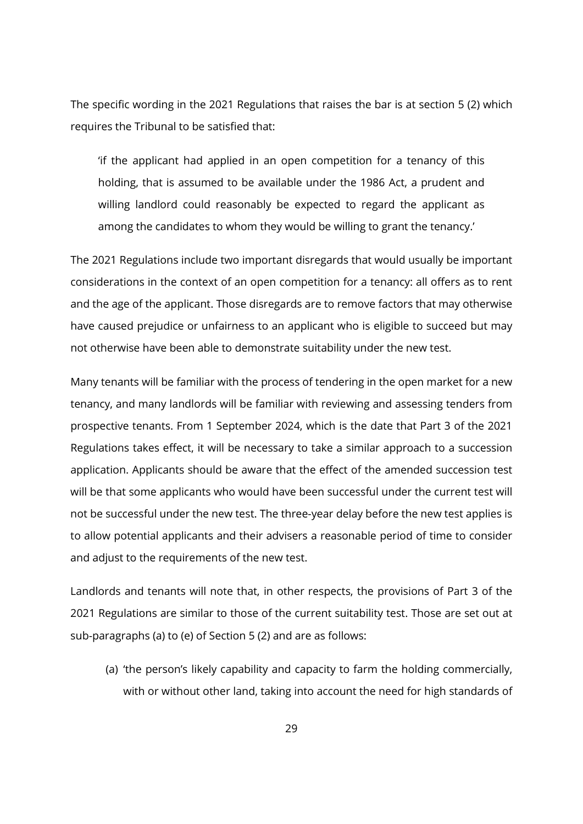The specific wording in the 2021 Regulations that raises the bar is at section 5 (2) which requires the Tribunal to be satisfied that:

'if the applicant had applied in an open competition for a tenancy of this holding, that is assumed to be available under the 1986 Act, a prudent and willing landlord could reasonably be expected to regard the applicant as among the candidates to whom they would be willing to grant the tenancy.'

The 2021 Regulations include two important disregards that would usually be important considerations in the context of an open competition for a tenancy: all offers as to rent and the age of the applicant. Those disregards are to remove factors that may otherwise have caused prejudice or unfairness to an applicant who is eligible to succeed but may not otherwise have been able to demonstrate suitability under the new test.

Many tenants will be familiar with the process of tendering in the open market for a new tenancy, and many landlords will be familiar with reviewing and assessing tenders from prospective tenants. From 1 September 2024, which is the date that Part 3 of the 2021 Regulations takes effect, it will be necessary to take a similar approach to a succession application. Applicants should be aware that the effect of the amended succession test will be that some applicants who would have been successful under the current test will not be successful under the new test. The three-year delay before the new test applies is to allow potential applicants and their advisers a reasonable period of time to consider and adjust to the requirements of the new test.

Landlords and tenants will note that, in other respects, the provisions of Part 3 of the 2021 Regulations are similar to those of the current suitability test. Those are set out at sub-paragraphs (a) to (e) of Section 5 (2) and are as follows:

(a) 'the person's likely capability and capacity to farm the holding commercially, with or without other land, taking into account the need for high standards of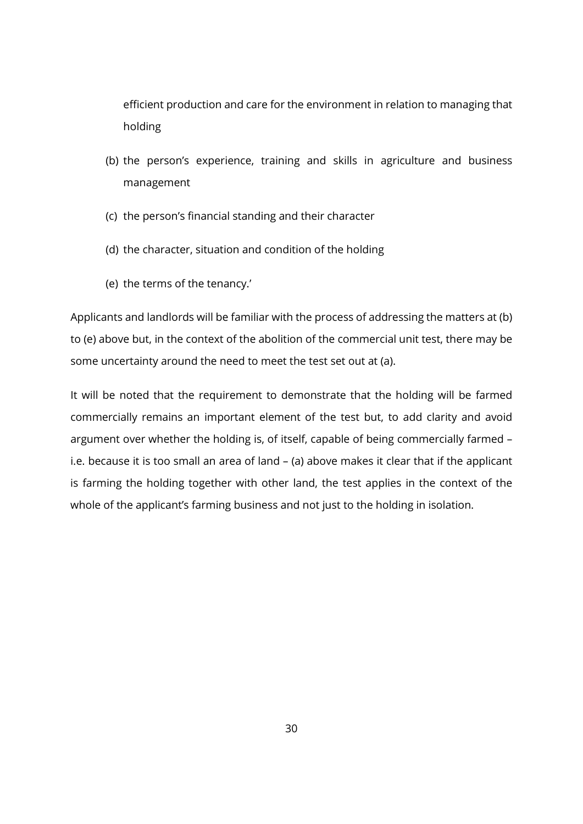efficient production and care for the environment in relation to managing that holding

- (b) the person's experience, training and skills in agriculture and business management
- (c) the person's financial standing and their character
- (d) the character, situation and condition of the holding
- (e) the terms of the tenancy.'

Applicants and landlords will be familiar with the process of addressing the matters at (b) to (e) above but, in the context of the abolition of the commercial unit test, there may be some uncertainty around the need to meet the test set out at (a).

It will be noted that the requirement to demonstrate that the holding will be farmed commercially remains an important element of the test but, to add clarity and avoid argument over whether the holding is, of itself, capable of being commercially farmed – i.e. because it is too small an area of land – (a) above makes it clear that if the applicant is farming the holding together with other land, the test applies in the context of the whole of the applicant's farming business and not just to the holding in isolation.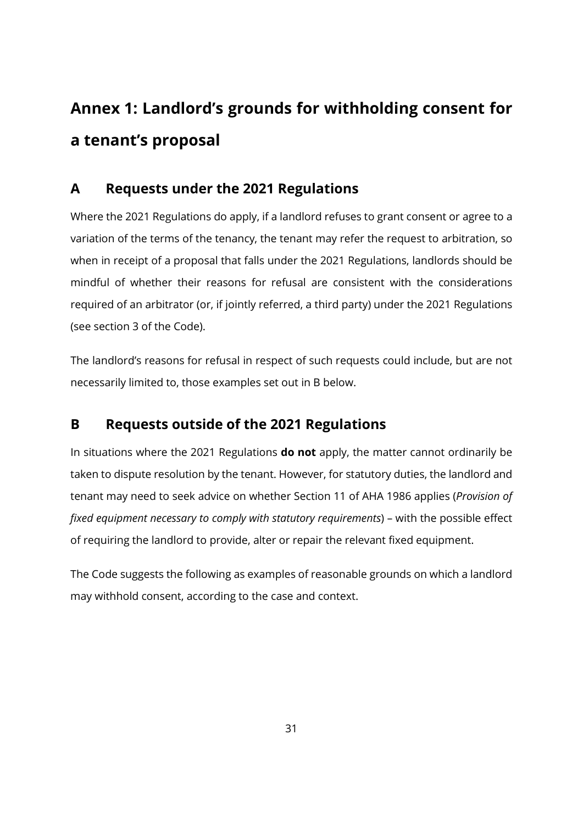# <span id="page-30-0"></span>**Annex 1: Landlord's grounds for withholding consent for a tenant's proposal**

## <span id="page-30-1"></span>**A Requests under the 2021 Regulations**

Where the 2021 Regulations do apply, if a landlord refuses to grant consent or agree to a variation of the terms of the tenancy, the tenant may refer the request to arbitration, so when in receipt of a proposal that falls under the 2021 Regulations, landlords should be mindful of whether their reasons for refusal are consistent with the considerations required of an arbitrator (or, if jointly referred, a third party) under the 2021 Regulations (see section 3 of the Code).

The landlord's reasons for refusal in respect of such requests could include, but are not necessarily limited to, those examples set out in B below.

## <span id="page-30-2"></span>**B Requests outside of the 2021 Regulations**

In situations where the 2021 Regulations **do not** apply, the matter cannot ordinarily be taken to dispute resolution by the tenant. However, for statutory duties, the landlord and tenant may need to seek advice on whether Section 11 of AHA 1986 applies (*Provision of fixed equipment necessary to comply with statutory requirements*) – with the possible effect of requiring the landlord to provide, alter or repair the relevant fixed equipment.

The Code suggests the following as examples of reasonable grounds on which a landlord may withhold consent, according to the case and context.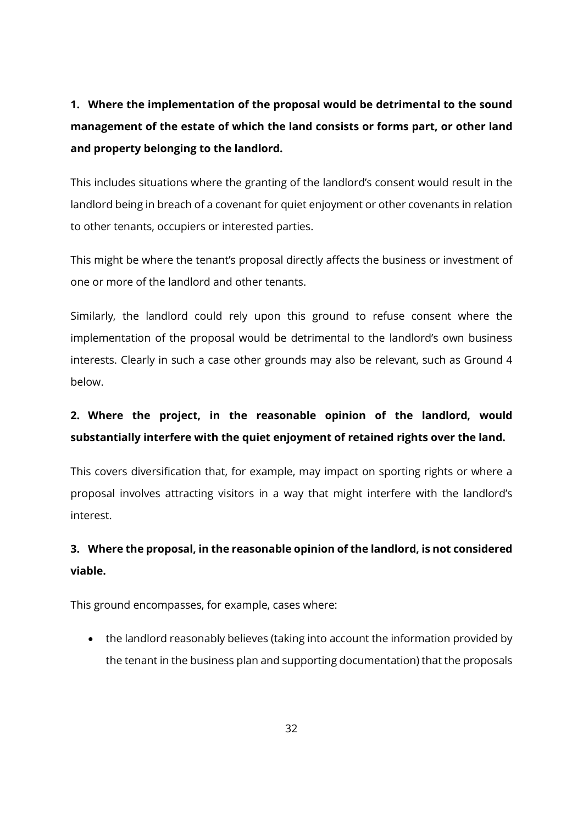**1. Where the implementation of the proposal would be detrimental to the sound management of the estate of which the land consists or forms part, or other land and property belonging to the landlord.**

This includes situations where the granting of the landlord's consent would result in the landlord being in breach of a covenant for quiet enjoyment or other covenants in relation to other tenants, occupiers or interested parties.

This might be where the tenant's proposal directly affects the business or investment of one or more of the landlord and other tenants.

Similarly, the landlord could rely upon this ground to refuse consent where the implementation of the proposal would be detrimental to the landlord's own business interests. Clearly in such a case other grounds may also be relevant, such as Ground 4 below.

# **2. Where the project, in the reasonable opinion of the landlord, would substantially interfere with the quiet enjoyment of retained rights over the land.**

This covers diversification that, for example, may impact on sporting rights or where a proposal involves attracting visitors in a way that might interfere with the landlord's interest.

# **3. Where the proposal, in the reasonable opinion of the landlord, is not considered viable.**

This ground encompasses, for example, cases where:

• the landlord reasonably believes (taking into account the information provided by the tenant in the business plan and supporting documentation) that the proposals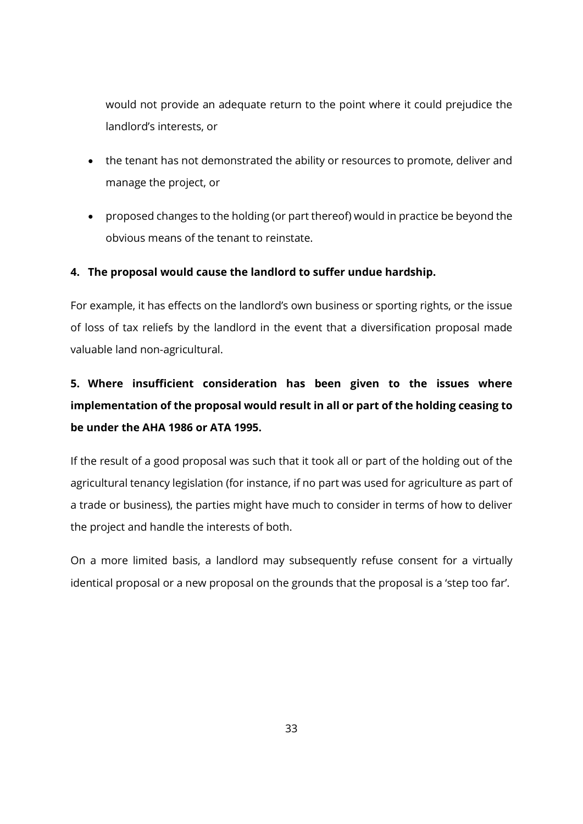would not provide an adequate return to the point where it could prejudice the landlord's interests, or

- the tenant has not demonstrated the ability or resources to promote, deliver and manage the project, or
- proposed changes to the holding (or part thereof) would in practice be beyond the obvious means of the tenant to reinstate.

#### **4. The proposal would cause the landlord to suffer undue hardship.**

For example, it has effects on the landlord's own business or sporting rights, or the issue of loss of tax reliefs by the landlord in the event that a diversification proposal made valuable land non-agricultural.

# **5. Where insufficient consideration has been given to the issues where implementation of the proposal would result in all or part of the holding ceasing to be under the AHA 1986 or ATA 1995.**

If the result of a good proposal was such that it took all or part of the holding out of the agricultural tenancy legislation (for instance, if no part was used for agriculture as part of a trade or business), the parties might have much to consider in terms of how to deliver the project and handle the interests of both.

On a more limited basis, a landlord may subsequently refuse consent for a virtually identical proposal or a new proposal on the grounds that the proposal is a 'step too far'.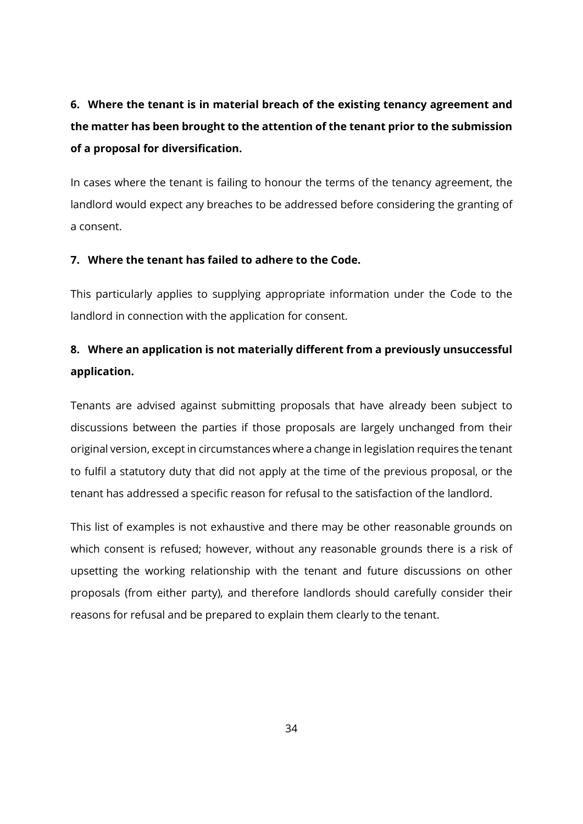# **6. Where the tenant is in material breach of the existing tenancy agreement and the matter has been brought to the attention of the tenant prior to the submission of a proposal for diversification.**

In cases where the tenant is failing to honour the terms of the tenancy agreement, the landlord would expect any breaches to be addressed before considering the granting of a consent.

#### **7. Where the tenant has failed to adhere to the Code.**

This particularly applies to supplying appropriate information under the Code to the landlord in connection with the application for consent.

# **8. Where an application is not materially different from a previously unsuccessful application.**

Tenants are advised against submitting proposals that have already been subject to discussions between the parties if those proposals are largely unchanged from their original version, except in circumstances where a change in legislation requires the tenant to fulfil a statutory duty that did not apply at the time of the previous proposal, or the tenant has addressed a specific reason for refusal to the satisfaction of the landlord.

This list of examples is not exhaustive and there may be other reasonable grounds on which consent is refused; however, without any reasonable grounds there is a risk of upsetting the working relationship with the tenant and future discussions on other proposals (from either party), and therefore landlords should carefully consider their reasons for refusal and be prepared to explain them clearly to the tenant.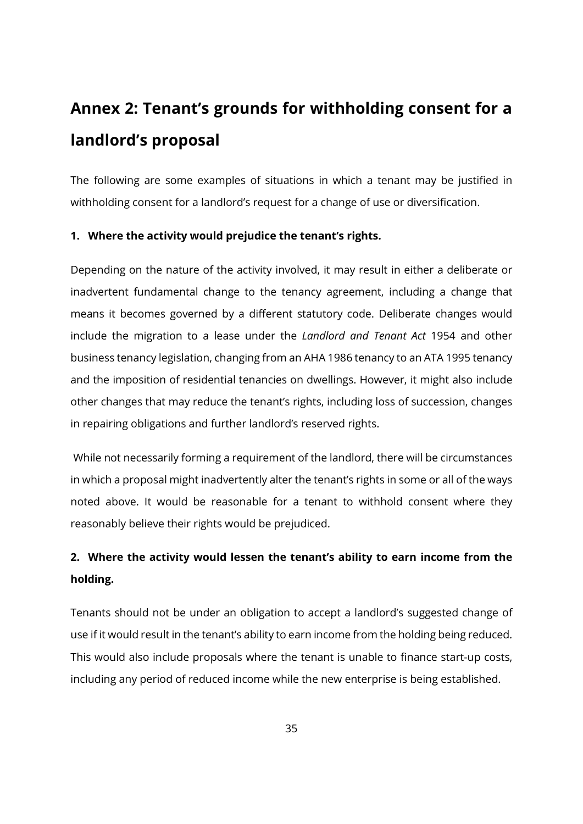# <span id="page-34-1"></span><span id="page-34-0"></span>**Annex 2: Tenant's grounds for withholding consent for a landlord's proposal**

The following are some examples of situations in which a tenant may be justified in withholding consent for a landlord's request for a change of use or diversification.

#### **1. Where the activity would prejudice the tenant's rights.**

Depending on the nature of the activity involved, it may result in either a deliberate or inadvertent fundamental change to the tenancy agreement, including a change that means it becomes governed by a different statutory code. Deliberate changes would include the migration to a lease under the *Landlord and Tenant Act* 1954 and other business tenancy legislation, changing from an AHA 1986 tenancy to an ATA 1995 tenancy and the imposition of residential tenancies on dwellings. However, it might also include other changes that may reduce the tenant's rights, including loss of succession, changes in repairing obligations and further landlord's reserved rights.

While not necessarily forming a requirement of the landlord, there will be circumstances in which a proposal might inadvertently alter the tenant's rights in some or all of the ways noted above. It would be reasonable for a tenant to withhold consent where they reasonably believe their rights would be prejudiced.

# **2. Where the activity would lessen the tenant's ability to earn income from the holding.**

Tenants should not be under an obligation to accept a landlord's suggested change of use if it would result in the tenant's ability to earn income from the holding being reduced. This would also include proposals where the tenant is unable to finance start-up costs, including any period of reduced income while the new enterprise is being established.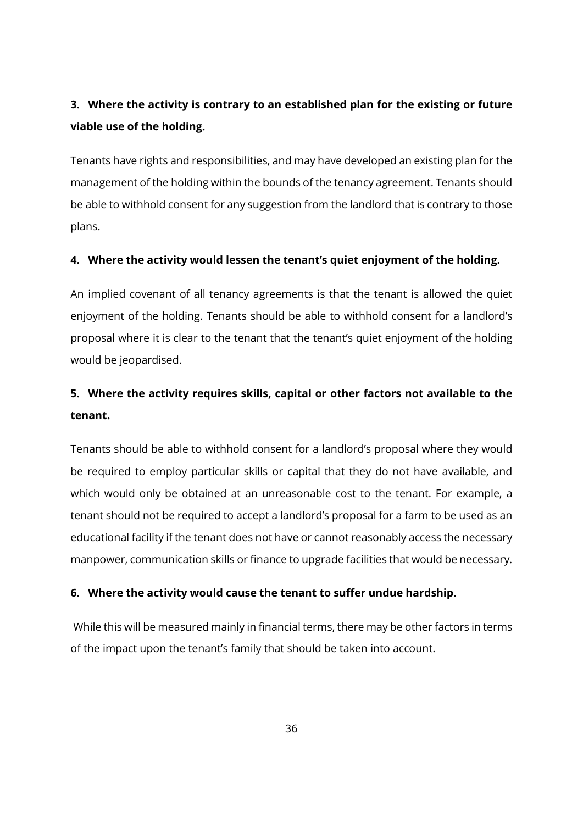# **3. Where the activity is contrary to an established plan for the existing or future viable use of the holding.**

Tenants have rights and responsibilities, and may have developed an existing plan for the management of the holding within the bounds of the tenancy agreement. Tenants should be able to withhold consent for any suggestion from the landlord that is contrary to those plans.

#### **4. Where the activity would lessen the tenant's quiet enjoyment of the holding.**

An implied covenant of all tenancy agreements is that the tenant is allowed the quiet enjoyment of the holding. Tenants should be able to withhold consent for a landlord's proposal where it is clear to the tenant that the tenant's quiet enjoyment of the holding would be jeopardised.

# **5. Where the activity requires skills, capital or other factors not available to the tenant.**

Tenants should be able to withhold consent for a landlord's proposal where they would be required to employ particular skills or capital that they do not have available, and which would only be obtained at an unreasonable cost to the tenant. For example, a tenant should not be required to accept a landlord's proposal for a farm to be used as an educational facility if the tenant does not have or cannot reasonably access the necessary manpower, communication skills or finance to upgrade facilities that would be necessary.

#### **6. Where the activity would cause the tenant to suffer undue hardship.**

While this will be measured mainly in financial terms, there may be other factors in terms of the impact upon the tenant's family that should be taken into account.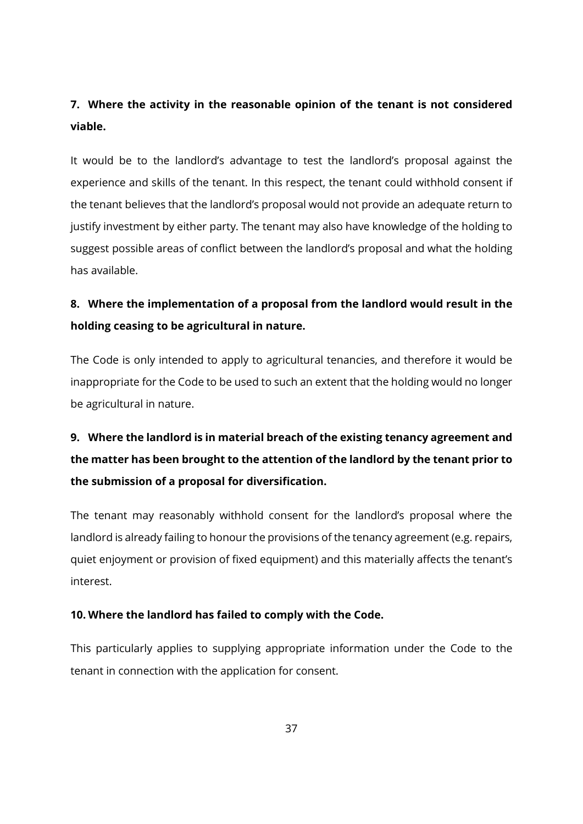# **7. Where the activity in the reasonable opinion of the tenant is not considered viable.**

It would be to the landlord's advantage to test the landlord's proposal against the experience and skills of the tenant. In this respect, the tenant could withhold consent if the tenant believes that the landlord's proposal would not provide an adequate return to justify investment by either party. The tenant may also have knowledge of the holding to suggest possible areas of conflict between the landlord's proposal and what the holding has available.

# **8. Where the implementation of a proposal from the landlord would result in the holding ceasing to be agricultural in nature.**

The Code is only intended to apply to agricultural tenancies, and therefore it would be inappropriate for the Code to be used to such an extent that the holding would no longer be agricultural in nature.

# **9. Where the landlord is in material breach of the existing tenancy agreement and the matter has been brought to the attention of the landlord by the tenant prior to the submission of a proposal for diversification.**

The tenant may reasonably withhold consent for the landlord's proposal where the landlord is already failing to honour the provisions of the tenancy agreement (e.g. repairs, quiet enjoyment or provision of fixed equipment) and this materially affects the tenant's interest.

#### **10. Where the landlord has failed to comply with the Code.**

This particularly applies to supplying appropriate information under the Code to the tenant in connection with the application for consent.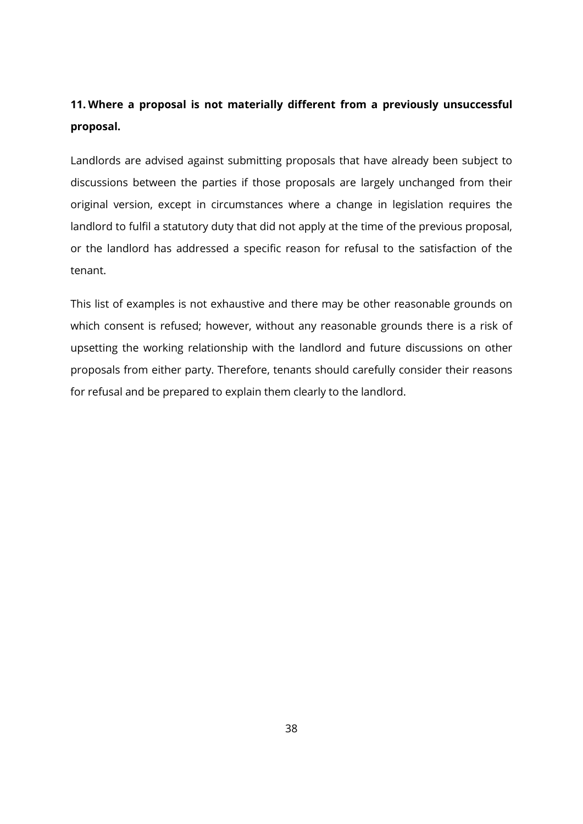# **11. Where a proposal is not materially different from a previously unsuccessful proposal.**

Landlords are advised against submitting proposals that have already been subject to discussions between the parties if those proposals are largely unchanged from their original version, except in circumstances where a change in legislation requires the landlord to fulfil a statutory duty that did not apply at the time of the previous proposal, or the landlord has addressed a specific reason for refusal to the satisfaction of the tenant.

This list of examples is not exhaustive and there may be other reasonable grounds on which consent is refused; however, without any reasonable grounds there is a risk of upsetting the working relationship with the landlord and future discussions on other proposals from either party. Therefore, tenants should carefully consider their reasons for refusal and be prepared to explain them clearly to the landlord.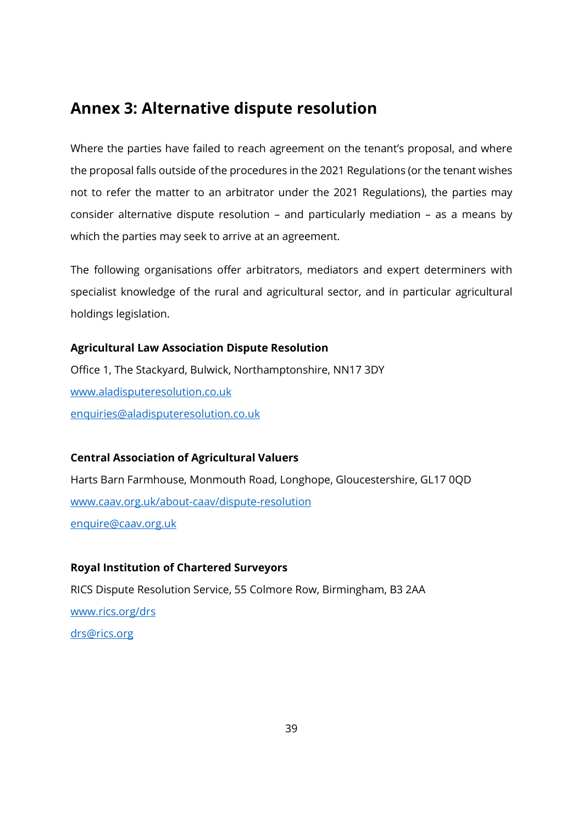# <span id="page-38-0"></span>**Annex 3: Alternative dispute resolution**

Where the parties have failed to reach agreement on the tenant's proposal, and where the proposal falls outside of the procedures in the 2021 Regulations (or the tenant wishes not to refer the matter to an arbitrator under the 2021 Regulations), the parties may consider alternative dispute resolution – and particularly mediation – as a means by which the parties may seek to arrive at an agreement.

The following organisations offer arbitrators, mediators and expert determiners with specialist knowledge of the rural and agricultural sector, and in particular agricultural holdings legislation.

#### **Agricultural Law Association Dispute Resolution**

Office 1, The Stackyard, Bulwick, Northamptonshire, NN17 3DY [www.aladisputeresolution.co.uk](http://www.aladisputeresolution.co.uk/) [enquiries@aladisputeresolution.co.uk](mailto:enquiries@aladisputeresolution.co.uk)

#### **Central Association of Agricultural Valuers**

Harts Barn Farmhouse, Monmouth Road, Longhope, Gloucestershire, GL17 0QD [www.caav.org.uk/about-caav/dispute-resolution](http://www.caav.org.uk/about-caav/dispute-resolution) [enquire@caav.org.uk](mailto:enquire@caav.org.uk)

#### **Royal Institution of Chartered Surveyors**

RICS Dispute Resolution Service, 55 Colmore Row, Birmingham, B3 2AA [www.rics.org/drs](http://www.rics.org/drs) [drs@rics.org](mailto:drs@rics.org)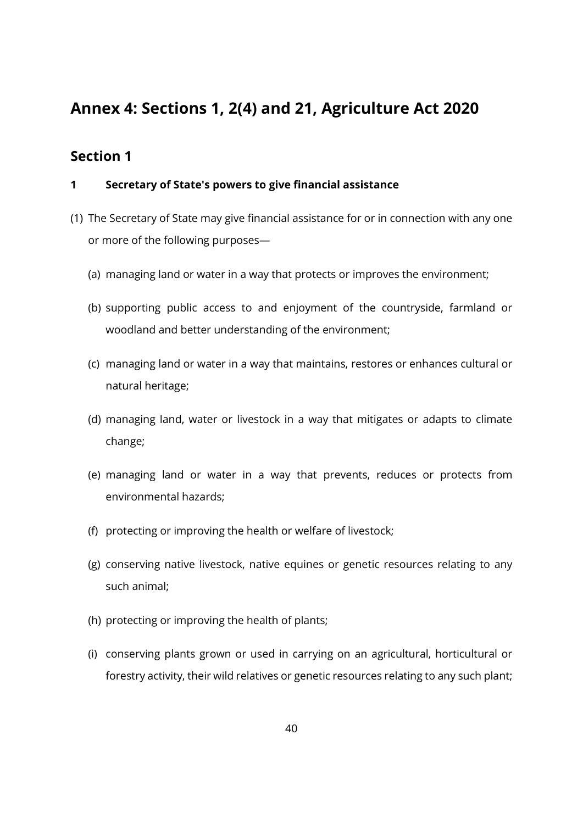# <span id="page-39-0"></span>**Annex 4: Sections 1, 2(4) and 21, Agriculture Act 2020**

## <span id="page-39-1"></span>**Section 1**

#### **1 Secretary of State's powers to give financial assistance**

- (1) The Secretary of State may give financial assistance for or in connection with any one or more of the following purposes—
	- (a) managing land or water in a way that protects or improves the environment;
	- (b) supporting public access to and enjoyment of the countryside, farmland or woodland and better understanding of the environment;
	- (c) managing land or water in a way that maintains, restores or enhances cultural or natural heritage;
	- (d) managing land, water or livestock in a way that mitigates or adapts to climate change;
	- (e) managing land or water in a way that prevents, reduces or protects from environmental hazards;
	- (f) protecting or improving the health or welfare of livestock;
	- (g) conserving native livestock, native equines or genetic resources relating to any such animal;
	- (h) protecting or improving the health of plants;
	- (i) conserving plants grown or used in carrying on an agricultural, horticultural or forestry activity, their wild relatives or genetic resources relating to any such plant;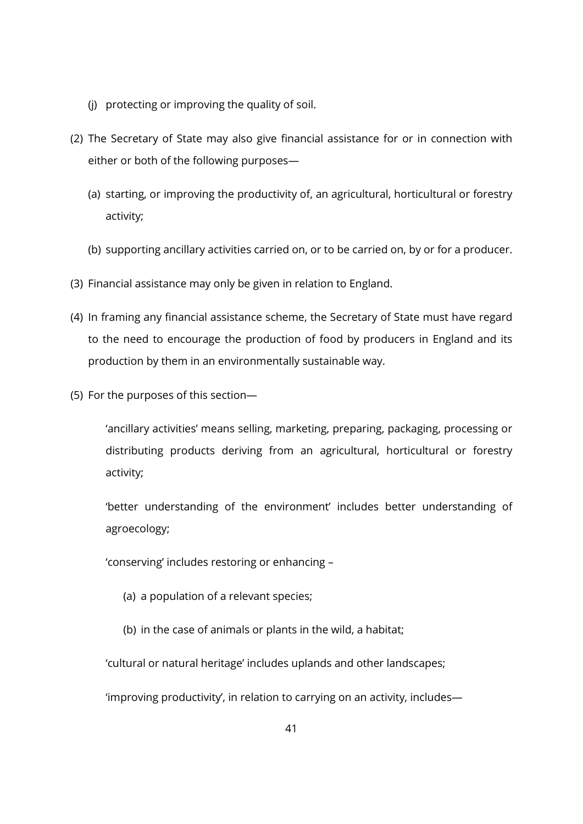- (j) protecting or improving the quality of soil.
- (2) The Secretary of State may also give financial assistance for or in connection with either or both of the following purposes—
	- (a) starting, or improving the productivity of, an agricultural, horticultural or forestry activity;
	- (b) supporting ancillary activities carried on, or to be carried on, by or for a producer.
- (3) Financial assistance may only be given in relation to England.
- (4) In framing any financial assistance scheme, the Secretary of State must have regard to the need to encourage the production of food by producers in England and its production by them in an environmentally sustainable way.
- (5) For the purposes of this section—

'ancillary activities' means selling, marketing, preparing, packaging, processing or distributing products deriving from an agricultural, horticultural or forestry activity;

'better understanding of the environment' includes better understanding of agroecology;

'conserving' includes restoring or enhancing –

- (a) a population of a relevant species;
- (b) in the case of animals or plants in the wild, a habitat;

'cultural or natural heritage' includes uplands and other landscapes;

'improving productivity', in relation to carrying on an activity, includes—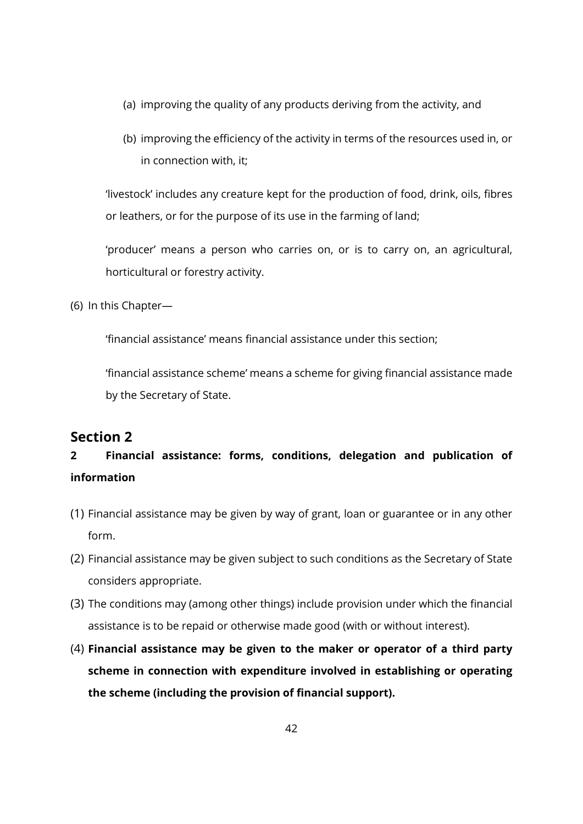- (a) improving the quality of any products deriving from the activity, and
- (b) improving the efficiency of the activity in terms of the resources used in, or in connection with, it;

'livestock' includes any creature kept for the production of food, drink, oils, fibres or leathers, or for the purpose of its use in the farming of land;

'producer' means a person who carries on, or is to carry on, an agricultural, horticultural or forestry activity.

(6) In this Chapter—

'financial assistance' means financial assistance under this section;

'financial assistance scheme' means a scheme for giving financial assistance made by the Secretary of State.

## <span id="page-41-0"></span>**Section 2**

# **2 Financial assistance: forms, conditions, delegation and publication of information**

- (1) Financial assistance may be given by way of grant, loan or guarantee or in any other form.
- (2) Financial assistance may be given subject to such conditions as the Secretary of State considers appropriate.
- (3) The conditions may (among other things) include provision under which the financial assistance is to be repaid or otherwise made good (with or without interest).
- (4) **Financial assistance may be given to the maker or operator of a third party scheme in connection with expenditure involved in establishing or operating the scheme (including the provision of financial support).**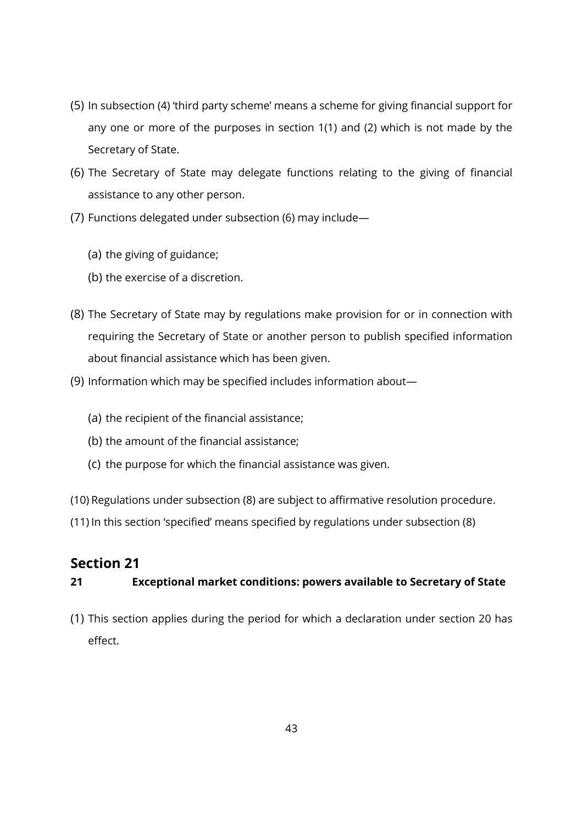- (5) In subsection (4) 'third party scheme' means a scheme for giving financial support for any one or more of the purposes in section 1(1) and (2) which is not made by the Secretary of State.
- (6) The Secretary of State may delegate functions relating to the giving of financial assistance to any other person.
- (7) Functions delegated under subsection (6) may include—
	- (a) the giving of guidance;
	- (b) the exercise of a discretion.
- (8) The Secretary of State may by regulations make provision for or in connection with requiring the Secretary of State or another person to publish specified information about financial assistance which has been given.
- (9) Information which may be specified includes information about—
	- (a) the recipient of the financial assistance;
	- (b) the amount of the financial assistance;
	- (c) the purpose for which the financial assistance was given.

(10) Regulations under subsection (8) are subject to affirmative resolution procedure.

(11) In this section 'specified' means specified by regulations under subsection (8)

## <span id="page-42-0"></span>**Section 21**

### **21 Exceptional market conditions: powers available to Secretary of State**

(1) This section applies during the period for which a declaration under section 20 has effect.